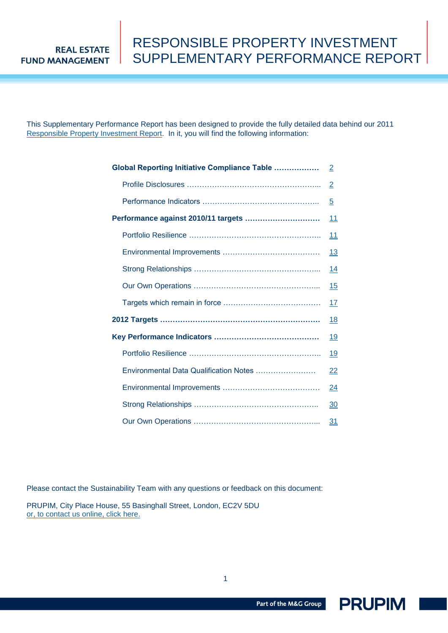This Supplementary Performance Report has been designed to provide the fully detailed data behind our 2011 [Responsible Property Investment Report.](http://www.prupim.com/upload/managerFile/PRUPIM_RPI_Report_2011_final.pdf) In it, you will find the following information:

| <b>Global Reporting Initiative Compliance Table </b> | $\overline{2}$ |
|------------------------------------------------------|----------------|
|                                                      | $\overline{2}$ |
|                                                      | $\overline{5}$ |
| Performance against 2010/11 targets                  | 11             |
|                                                      | 11             |
|                                                      | <u>13</u>      |
|                                                      | 14             |
|                                                      | <u> 15</u>     |
|                                                      | 17             |
|                                                      | 18             |
|                                                      | 19             |
|                                                      | 19             |
| Environmental Data Qualification Notes               | 22             |
|                                                      | 24             |
|                                                      | 30             |
|                                                      | 31             |

Please contact the Sustainability Team with any questions or feedback on this document:

PRUPIM, City Place House, 55 Basinghall Street, London, EC2V 5DU [or, to contact us online, click here.](http://www.prupim.com/About-Us/Contact-Us)

Part of the M&G Group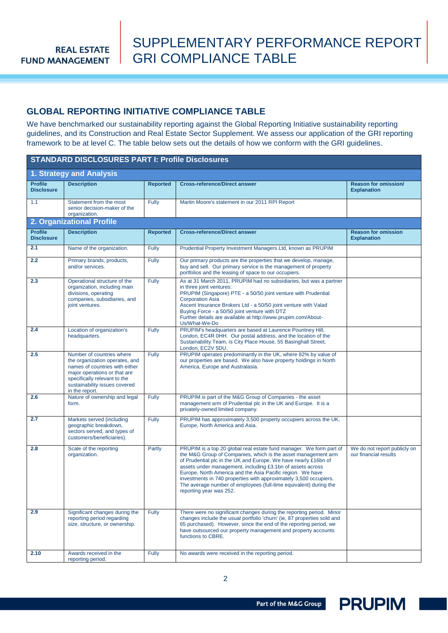### <span id="page-1-0"></span>**GLOBAL REPORTING INITIATIVE COMPLIANCE TABLE**

We have benchmarked our sustainability reporting against the Global Reporting Initiative sustainability reporting guidelines, and its Construction and Real Estate Sector Supplement. We assess our application of the GRI reporting framework to be at level C. The table below sets out the details of how we conform with the GRI guidelines.

| <b>STANDARD DISCLOSURES PART I: Profile Disclosures</b> |                                                                                                                                                                                                                  |                 |                                                                                                                                                                                                                                                                                                                                                                                                                                                                                                          |                                                       |  |  |
|---------------------------------------------------------|------------------------------------------------------------------------------------------------------------------------------------------------------------------------------------------------------------------|-----------------|----------------------------------------------------------------------------------------------------------------------------------------------------------------------------------------------------------------------------------------------------------------------------------------------------------------------------------------------------------------------------------------------------------------------------------------------------------------------------------------------------------|-------------------------------------------------------|--|--|
|                                                         | 1. Strategy and Analysis                                                                                                                                                                                         |                 |                                                                                                                                                                                                                                                                                                                                                                                                                                                                                                          |                                                       |  |  |
| <b>Profile</b><br><b>Disclosure</b>                     | <b>Description</b>                                                                                                                                                                                               | <b>Reported</b> | <b>Cross-reference/Direct answer</b>                                                                                                                                                                                                                                                                                                                                                                                                                                                                     | Reason for omission/<br><b>Explanation</b>            |  |  |
| 1.1                                                     | Statement from the most<br>senior decision-maker of the<br>organization.                                                                                                                                         | Fully           | Martin Moore's statement in our 2011 RPI Report                                                                                                                                                                                                                                                                                                                                                                                                                                                          |                                                       |  |  |
|                                                         | 2. Organizational Profile                                                                                                                                                                                        |                 |                                                                                                                                                                                                                                                                                                                                                                                                                                                                                                          |                                                       |  |  |
| <b>Profile</b><br><b>Disclosure</b>                     | <b>Description</b>                                                                                                                                                                                               | <b>Reported</b> | <b>Cross-reference/Direct answer</b>                                                                                                                                                                                                                                                                                                                                                                                                                                                                     | <b>Reason for omission</b><br><b>Explanation</b>      |  |  |
| 2.1                                                     | Name of the organization.                                                                                                                                                                                        | <b>Fully</b>    | Prudential Property Investment Managers Ltd, known as PRUPIM                                                                                                                                                                                                                                                                                                                                                                                                                                             |                                                       |  |  |
| 2.2                                                     | Primary brands, products,<br>and/or services.                                                                                                                                                                    | <b>Fully</b>    | Our primary products are the properties that we develop, manage,<br>buy and sell. Our primary service is the management of property<br>portfolios and the leasing of space to our occupiers.                                                                                                                                                                                                                                                                                                             |                                                       |  |  |
| 2.3                                                     | Operational structure of the<br>organization, including main<br>divisions, operating<br>companies, subsidiaries, and<br>joint ventures.                                                                          | <b>Fully</b>    | As at 31 March 2011, PRUPIM had no subsidiaries, but was a partner<br>in three joint ventures:<br>PRUPIM (Singapore) PTE - a 50/50 joint venture with Prudential<br><b>Corporation Asia</b><br>Ascent Insurance Brokers Ltd - a 50/50 joint venture with Valad<br>Buying Force - a 50/50 joint venture with DTZ<br>Further details are available at http://www.prupim.com/About-<br>Us/What-We-Do                                                                                                        |                                                       |  |  |
| 2.4                                                     | Location of organization's<br>headquarters.                                                                                                                                                                      | <b>Fully</b>    | PRUPIM's headquarters are based at Laurence Pountney Hill,<br>London, EC4R 0HH. Our postal address, and the location of the<br>Sustainability Team, is City Place House, 55 Basinghall Street,<br>London. EC2V 5DU.                                                                                                                                                                                                                                                                                      |                                                       |  |  |
| 2.5                                                     | Number of countries where<br>the organization operates, and<br>names of countries with either<br>major operations or that are<br>specifically relevant to the<br>sustainability issues covered<br>in the report. | Fully           | PRUPIM operates predominantly in the UK, where 82% by value of<br>our properties are based. We also have property holdings in North<br>America, Europe and Australasia.                                                                                                                                                                                                                                                                                                                                  |                                                       |  |  |
| 2.6                                                     | Nature of ownership and legal<br>form.                                                                                                                                                                           | <b>Fully</b>    | PRUPIM is part of the M&G Group of Companies - the asset<br>management arm of Prudential plc in the UK and Europe. It is a<br>privately-owned limited company.                                                                                                                                                                                                                                                                                                                                           |                                                       |  |  |
| 2.7                                                     | Markets served (including<br>geographic breakdown,<br>sectors served, and types of<br>customers/beneficiaries).                                                                                                  | <b>Fully</b>    | PRUPIM has approximately 3,500 property occupiers across the UK,<br>Europe, North America and Asia.                                                                                                                                                                                                                                                                                                                                                                                                      |                                                       |  |  |
| 2.8                                                     | Scale of the reporting<br>organization.                                                                                                                                                                          | Partly          | PRUPIM is a top 20 global real estate fund manager. We form part of<br>the M&G Group of Companies, which is the asset management arm<br>of Prudential plc in the UK and Europe. We have nearly £16bn of<br>assets under management, including £3.1bn of assets across<br>Europe, North America and the Asia Pacific region. We have<br>investments in 740 properties with approximately 3,500 occupiers.<br>The average number of employees (full-time equivalent) during the<br>reporting year was 252. | We do not report publicly on<br>our financial results |  |  |
| 2.9                                                     | Significant changes during the<br>reporting period regarding<br>size, structure, or ownership.                                                                                                                   | <b>Fully</b>    | There were no significant changes during the reporting period. Minor<br>changes include the usual portfolio 'churn' (ie, 87 properties sold and<br>65 purchased). However, since the end of the reporting period, we<br>have outsourced our property management and property accounts<br>functions to CBRE.                                                                                                                                                                                              |                                                       |  |  |
| 2.10                                                    | Awards received in the<br>reporting period.                                                                                                                                                                      | <b>Fully</b>    | No awards were received in the reporting period.                                                                                                                                                                                                                                                                                                                                                                                                                                                         |                                                       |  |  |

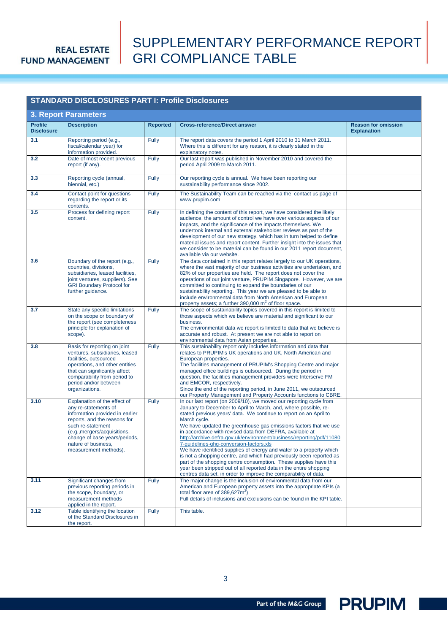## SUPPLEMENTARY PERFORMANCE REPORT GRI COMPLIANCE TABLE

| <b>STANDARD DISCLOSURES PART I: Profile Disclosures</b> |                                                                                                                                                                                                                                                               |                 |                                                                                                                                                                                                                                                                                                                                                                                                                                                                                                                                                                                                                                                                                                                                                                                                                                            |                                                  |  |
|---------------------------------------------------------|---------------------------------------------------------------------------------------------------------------------------------------------------------------------------------------------------------------------------------------------------------------|-----------------|--------------------------------------------------------------------------------------------------------------------------------------------------------------------------------------------------------------------------------------------------------------------------------------------------------------------------------------------------------------------------------------------------------------------------------------------------------------------------------------------------------------------------------------------------------------------------------------------------------------------------------------------------------------------------------------------------------------------------------------------------------------------------------------------------------------------------------------------|--------------------------------------------------|--|
| <b>3. Report Parameters</b>                             |                                                                                                                                                                                                                                                               |                 |                                                                                                                                                                                                                                                                                                                                                                                                                                                                                                                                                                                                                                                                                                                                                                                                                                            |                                                  |  |
| <b>Profile</b><br><b>Disclosure</b>                     | <b>Description</b>                                                                                                                                                                                                                                            | <b>Reported</b> | <b>Cross-reference/Direct answer</b>                                                                                                                                                                                                                                                                                                                                                                                                                                                                                                                                                                                                                                                                                                                                                                                                       | <b>Reason for omission</b><br><b>Explanation</b> |  |
| 3.1                                                     | Reporting period (e.g.,<br>fiscal/calendar year) for<br>information provided.                                                                                                                                                                                 | Fully           | The report data covers the period 1 April 2010 to 31 March 2011.<br>Where this is different for any reason, it is clearly stated in the<br>explanatory notes.                                                                                                                                                                                                                                                                                                                                                                                                                                                                                                                                                                                                                                                                              |                                                  |  |
| 3.2                                                     | Date of most recent previous<br>report (if any).                                                                                                                                                                                                              | Fully           | Our last report was published in November 2010 and covered the<br>period April 2009 to March 2011.                                                                                                                                                                                                                                                                                                                                                                                                                                                                                                                                                                                                                                                                                                                                         |                                                  |  |
| 3.3                                                     | Reporting cycle (annual,<br>biennial, etc.)                                                                                                                                                                                                                   | Fully           | Our reporting cycle is annual. We have been reporting our<br>sustainability performance since 2002.                                                                                                                                                                                                                                                                                                                                                                                                                                                                                                                                                                                                                                                                                                                                        |                                                  |  |
| 3.4                                                     | Contact point for questions<br>regarding the report or its<br>contents.                                                                                                                                                                                       | Fully           | The Sustainability Team can be reached via the contact us page of<br>www.prupim.com                                                                                                                                                                                                                                                                                                                                                                                                                                                                                                                                                                                                                                                                                                                                                        |                                                  |  |
| 3.5                                                     | Process for defining report<br>content.                                                                                                                                                                                                                       | Fully           | In defining the content of this report, we have considered the likely<br>audience, the amount of control we have over various aspects of our<br>impacts, and the significance of the impacts themselves. We<br>undertook internal and external stakeholder reviews as part of the<br>development of our new strategy, which has in turn helped to define<br>material issues and report content. Further insight into the issues that<br>we consider to be material can be found in our 2011 report document,<br>available via our website.                                                                                                                                                                                                                                                                                                 |                                                  |  |
| 3.6                                                     | Boundary of the report (e.g.,<br>countries, divisions,<br>subsidiaries, leased facilities,<br>joint ventures, suppliers). See<br><b>GRI Boundary Protocol for</b><br>further guidance.                                                                        | Fully           | The data contained in this report relates largely to our UK operations,<br>where the vast majority of our business activities are undertaken, and<br>82% of our properties are held. The report does not cover the<br>operations of our joint venture, PRUPIM Singapore. However, we are<br>committed to continuing to expand the boundaries of our<br>sustainability reporting. This year we are pleased to be able to<br>include environmental data from North American and European<br>property assets; a further $390,000 \text{ m}^2$ of floor space.                                                                                                                                                                                                                                                                                 |                                                  |  |
| 3.7                                                     | State any specific limitations<br>on the scope or boundary of<br>the report (see completeness<br>principle for explanation of<br>scope).                                                                                                                      | <b>Fully</b>    | The scope of sustainability topics covered in this report is limited to<br>those aspects which we believe are material and significant to our<br>business.<br>The environmental data we report is limited to data that we believe is<br>accurate and robust. At present we are not able to report on<br>environmental data from Asian properties.                                                                                                                                                                                                                                                                                                                                                                                                                                                                                          |                                                  |  |
| 3.8                                                     | Basis for reporting on joint<br>ventures, subsidiaries, leased<br>facilities, outsourced<br>operations, and other entities<br>that can significantly affect<br>comparability from period to<br>period and/or between<br>organizations.                        | Fully           | This sustainability report only includes information and data that<br>relates to PRUPIM's UK operations and UK, North American and<br>European properties.<br>The facilities management of PRUPIM's Shopping Centre and major<br>managed office buildings is outsourced. During the period in<br>question, the facilities management providers were Interserve FM<br>and EMCOR, respectively.<br>Since the end of the reporting period, in June 2011, we outsourced<br>our Property Management and Property Accounts functions to CBRE.                                                                                                                                                                                                                                                                                                    |                                                  |  |
| 3.10                                                    | Explanation of the effect of<br>any re-statements of<br>information provided in earlier<br>reports, and the reasons for<br>such re-statement<br>(e.g., mergers/acquisitions,<br>change of base years/periods,<br>nature of business,<br>measurement methods). | Fully           | In our last report (on 2009/10), we moved our reporting cycle from<br>January to December to April to March, and, where possible, re-<br>stated previous years' data. We continue to report on an April to<br>March cycle.<br>We have updated the greenhouse gas emissions factors that we use<br>in accordance with revised data from DEFRA, available at<br>http://archive.defra.gov.uk/environment/business/reporting/pdf/11080<br>7-guidelines-ghg-conversion-factors.xls<br>We have identified supplies of energy and water to a property which<br>is not a shopping centre, and which had previously been reported as<br>part of the shopping centre consumption. These supplies have this<br>year been stripped out of all reported data in the entire shopping<br>centres data set, in order to improve the comparability of data. |                                                  |  |
| 3.11                                                    | Significant changes from<br>previous reporting periods in<br>the scope, boundary, or<br>measurement methods<br>applied in the report.                                                                                                                         | Fully           | The major change is the inclusion of environmental data from our<br>American and European property assets into the appropriate KPIs (a<br>total floor area of $389,627m^2$ )<br>Full details of inclusions and exclusions can be found in the KPI table.                                                                                                                                                                                                                                                                                                                                                                                                                                                                                                                                                                                   |                                                  |  |
| 3.12                                                    | Table identifying the location<br>of the Standard Disclosures in<br>the report.                                                                                                                                                                               | Fully           | This table.                                                                                                                                                                                                                                                                                                                                                                                                                                                                                                                                                                                                                                                                                                                                                                                                                                |                                                  |  |

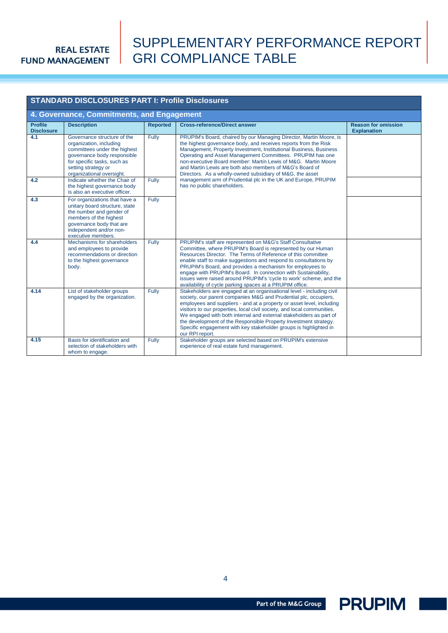## SUPPLEMENTARY PERFORMANCE REPORT GRI COMPLIANCE TABLE

|                                     | <b>STANDARD DISCLOSURES PART I: Profile Disclosures</b>                                                                                                                                                  |                 |                                                                                                                                                                                                                                                                                                                                                                                                                                                                                                                                 |                                                  |  |  |  |
|-------------------------------------|----------------------------------------------------------------------------------------------------------------------------------------------------------------------------------------------------------|-----------------|---------------------------------------------------------------------------------------------------------------------------------------------------------------------------------------------------------------------------------------------------------------------------------------------------------------------------------------------------------------------------------------------------------------------------------------------------------------------------------------------------------------------------------|--------------------------------------------------|--|--|--|
|                                     | 4. Governance, Commitments, and Engagement                                                                                                                                                               |                 |                                                                                                                                                                                                                                                                                                                                                                                                                                                                                                                                 |                                                  |  |  |  |
| <b>Profile</b><br><b>Disclosure</b> | <b>Description</b>                                                                                                                                                                                       | <b>Reported</b> | <b>Cross-reference/Direct answer</b>                                                                                                                                                                                                                                                                                                                                                                                                                                                                                            | <b>Reason for omission</b><br><b>Explanation</b> |  |  |  |
| 4.1                                 | Governance structure of the<br>organization, including<br>committees under the highest<br>governance body responsible<br>for specific tasks, such as<br>setting strategy or<br>organizational oversight. | Fully           | PRUPIM's Board, chaired by our Managing Director, Martin Moore, is<br>the highest governance body, and receives reports from the Risk<br>Management, Property Investment, Institutional Business, Business<br>Operating and Asset Management Committees. PRUPIM has one<br>non-executive Board member: Martin Lewis of M&G. Martin Moore<br>and Martin Lewis are both also members of M&G's Board of<br>Directors. As a wholly-owned subsidiary of M&G, the asset                                                               |                                                  |  |  |  |
| 4.2                                 | Indicate whether the Chair of<br>the highest governance body<br>is also an executive officer.                                                                                                            | Fully           | management arm of Prudential plc in the UK and Europe, PRUPIM<br>has no public shareholders.                                                                                                                                                                                                                                                                                                                                                                                                                                    |                                                  |  |  |  |
| 4.3                                 | For organizations that have a<br>unitary board structure, state<br>the number and gender of<br>members of the highest<br>governance body that are<br>independent and/or non-<br>executive members.       | Fully           |                                                                                                                                                                                                                                                                                                                                                                                                                                                                                                                                 |                                                  |  |  |  |
| 4.4                                 | Mechanisms for shareholders<br>and employees to provide<br>recommendations or direction<br>to the highest governance<br>body.                                                                            | Fully           | PRUPIM's staff are represented on M&G's Staff Consultative<br>Committee, where PRUPIM's Board is represented by our Human<br>Resources Director. The Terms of Reference of this committee<br>enable staff to make suggestions and respond to consultations by<br>PRUPIM's Board, and provides a mechanism for employees to<br>engage with PRUPIM's Board. In connection with Sustainability,<br>issues were raised around PRUPIM's 'cycle to work' scheme, and the<br>availability of cycle parking spaces at a PRUPIM office.  |                                                  |  |  |  |
| 4.14                                | List of stakeholder groups<br>engaged by the organization.                                                                                                                                               | Fully           | Stakeholders are engaged at an organisational level - including civil<br>society, our parent companies M&G and Prudential plc, occupiers,<br>employees and suppliers - and at a property or asset level, including<br>visitors to our properties, local civil society, and local communities.<br>We engaged with both internal and external stakeholders as part of<br>the development of the Responsible Property Investment strategy.<br>Specific engagement with key stakeholder groups is highlighted in<br>our RPI report. |                                                  |  |  |  |
| 4.15                                | Basis for identification and<br>selection of stakeholders with<br>whom to engage.                                                                                                                        | Fully           | Stakeholder groups are selected based on PRUPIM's extensive<br>experience of real estate fund management.                                                                                                                                                                                                                                                                                                                                                                                                                       |                                                  |  |  |  |



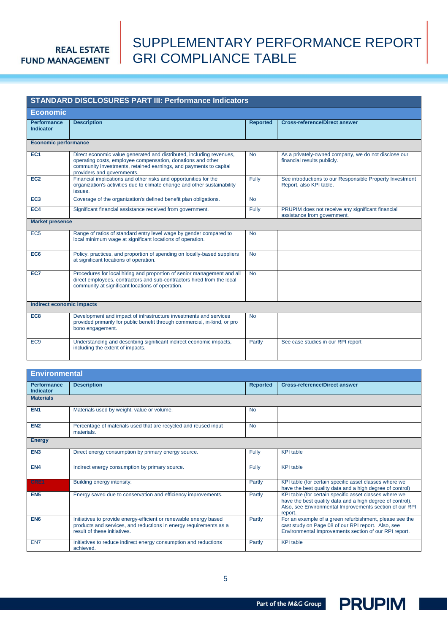## SUPPLEMENTARY PERFORMANCE REPORT GRI COMPLIANCE TABLE

<span id="page-4-0"></span>

| <b>STANDARD DISCLOSURES PART III: Performance Indicators</b> |                                                                                                                                                                                                                                        |                 |                                                                                     |  |  |
|--------------------------------------------------------------|----------------------------------------------------------------------------------------------------------------------------------------------------------------------------------------------------------------------------------------|-----------------|-------------------------------------------------------------------------------------|--|--|
| <b>Economic</b>                                              |                                                                                                                                                                                                                                        |                 |                                                                                     |  |  |
| <b>Performance</b><br>Indicator                              | <b>Description</b>                                                                                                                                                                                                                     | <b>Reported</b> | <b>Cross-reference/Direct answer</b>                                                |  |  |
| <b>Economic performance</b>                                  |                                                                                                                                                                                                                                        |                 |                                                                                     |  |  |
| EC <sub>1</sub>                                              | Direct economic value generated and distributed, including revenues,<br>operating costs, employee compensation, donations and other<br>community investments, retained earnings, and payments to capital<br>providers and governments. | <b>No</b>       | As a privately-owned company, we do not disclose our<br>financial results publicly. |  |  |
| EC <sub>2</sub>                                              | Financial implications and other risks and opportunities for the<br>organization's activities due to climate change and other sustainability<br>issues.                                                                                | Fully           | See introductions to our Responsible Property Investment<br>Report, also KPI table. |  |  |
| EC <sub>3</sub>                                              | Coverage of the organization's defined benefit plan obligations.                                                                                                                                                                       | <b>No</b>       |                                                                                     |  |  |
| EC <sub>4</sub>                                              | Significant financial assistance received from government.                                                                                                                                                                             | Fully           | PRUPIM does not receive any significant financial<br>assistance from government.    |  |  |
| <b>Market presence</b>                                       |                                                                                                                                                                                                                                        |                 |                                                                                     |  |  |
| EC <sub>5</sub>                                              | Range of ratios of standard entry level wage by gender compared to<br>local minimum wage at significant locations of operation.                                                                                                        | <b>No</b>       |                                                                                     |  |  |
| EC <sub>6</sub>                                              | Policy, practices, and proportion of spending on locally-based suppliers<br>at significant locations of operation.                                                                                                                     | <b>No</b>       |                                                                                     |  |  |
| EC <sub>7</sub>                                              | Procedures for local hiring and proportion of senior management and all<br>direct employees, contractors and sub-contractors hired from the local<br>community at significant locations of operation.                                  | <b>No</b>       |                                                                                     |  |  |
| Indirect economic impacts                                    |                                                                                                                                                                                                                                        |                 |                                                                                     |  |  |
| EC <sub>8</sub>                                              | Development and impact of infrastructure investments and services<br>provided primarily for public benefit through commercial, in-kind, or pro<br>bono engagement.                                                                     | <b>No</b>       |                                                                                     |  |  |
| EC <sub>9</sub>                                              | Understanding and describing significant indirect economic impacts,<br>including the extent of impacts.                                                                                                                                | Partly          | See case studies in our RPI report                                                  |  |  |

| <b>Environmental</b>            |                                                                                                                                                                        |                 |                                                                                                                                                                                           |  |  |
|---------------------------------|------------------------------------------------------------------------------------------------------------------------------------------------------------------------|-----------------|-------------------------------------------------------------------------------------------------------------------------------------------------------------------------------------------|--|--|
| <b>Performance</b><br>Indicator | <b>Description</b>                                                                                                                                                     | <b>Reported</b> | <b>Cross-reference/Direct answer</b>                                                                                                                                                      |  |  |
| <b>Materials</b>                |                                                                                                                                                                        |                 |                                                                                                                                                                                           |  |  |
| EN <sub>1</sub>                 | Materials used by weight, value or volume.                                                                                                                             | <b>No</b>       |                                                                                                                                                                                           |  |  |
| EN <sub>2</sub>                 | Percentage of materials used that are recycled and reused input<br>materials.                                                                                          | <b>No</b>       |                                                                                                                                                                                           |  |  |
| <b>Energy</b>                   |                                                                                                                                                                        |                 |                                                                                                                                                                                           |  |  |
| EN <sub>3</sub>                 | Direct energy consumption by primary energy source.                                                                                                                    | Fully           | <b>KPI</b> table                                                                                                                                                                          |  |  |
| EN4                             | Indirect energy consumption by primary source.                                                                                                                         | <b>Fully</b>    | <b>KPI</b> table                                                                                                                                                                          |  |  |
| CRE1                            | Building energy intensity.                                                                                                                                             | Partly          | KPI table (for certain specific asset classes where we<br>have the best quality data and a high degree of control)                                                                        |  |  |
| EN <sub>5</sub>                 | Energy saved due to conservation and efficiency improvements.                                                                                                          | Partly          | KPI table (for certain specific asset classes where we<br>have the best quality data and a high degree of control).<br>Also, see Environmental Improvements section of our RPI<br>report. |  |  |
| EN <sub>6</sub>                 | Initiatives to provide energy-efficient or renewable energy based<br>products and services, and reductions in energy requirements as a<br>result of these initiatives. | Partly          | For an example of a green refurbishment, please see the<br>cast study on Page 08 of our RPI report. Also, see<br>Environmental Improvements section of our RPI report.                    |  |  |
| EN7                             | Initiatives to reduce indirect energy consumption and reductions<br>achieved.                                                                                          | Partly          | <b>KPI</b> table                                                                                                                                                                          |  |  |

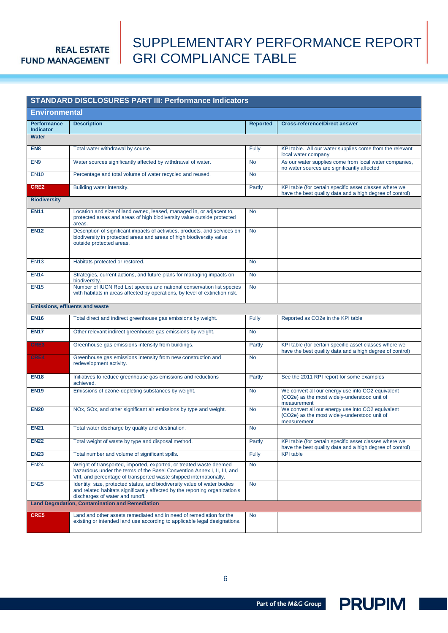## SUPPLEMENTARY PERFORMANCE REPORT GRI COMPLIANCE TABLE

| <b>STANDARD DISCLOSURES PART III: Performance Indicators</b> |                                                                                                                                                                                                                     |                 |                                                                                                                    |  |  |  |
|--------------------------------------------------------------|---------------------------------------------------------------------------------------------------------------------------------------------------------------------------------------------------------------------|-----------------|--------------------------------------------------------------------------------------------------------------------|--|--|--|
| <b>Environmental</b>                                         |                                                                                                                                                                                                                     |                 |                                                                                                                    |  |  |  |
| <b>Performance</b><br>Indicator                              | <b>Description</b>                                                                                                                                                                                                  | <b>Reported</b> | <b>Cross-reference/Direct answer</b>                                                                               |  |  |  |
| <b>Water</b>                                                 |                                                                                                                                                                                                                     |                 |                                                                                                                    |  |  |  |
| EN <sub>8</sub>                                              | Total water withdrawal by source.                                                                                                                                                                                   | Fully           | KPI table. All our water supplies come from the relevant<br>local water company                                    |  |  |  |
| EN <sub>9</sub>                                              | Water sources significantly affected by withdrawal of water.                                                                                                                                                        | <b>No</b>       | As our water supplies come from local water companies,<br>no water sources are significantly affected              |  |  |  |
| <b>EN10</b>                                                  | Percentage and total volume of water recycled and reused.                                                                                                                                                           | <b>No</b>       |                                                                                                                    |  |  |  |
| CRE2                                                         | Building water intensity.                                                                                                                                                                                           | Partly          | KPI table (for certain specific asset classes where we<br>have the best quality data and a high degree of control) |  |  |  |
| <b>Biodiversity</b>                                          |                                                                                                                                                                                                                     |                 |                                                                                                                    |  |  |  |
| <b>EN11</b>                                                  | Location and size of land owned, leased, managed in, or adjacent to,<br>protected areas and areas of high biodiversity value outside protected<br>areas.                                                            | <b>No</b>       |                                                                                                                    |  |  |  |
| <b>EN12</b>                                                  | Description of significant impacts of activities, products, and services on<br>biodiversity in protected areas and areas of high biodiversity value<br>outside protected areas.                                     | <b>No</b>       |                                                                                                                    |  |  |  |
| <b>EN13</b>                                                  | Habitats protected or restored.                                                                                                                                                                                     | <b>No</b>       |                                                                                                                    |  |  |  |
| <b>EN14</b>                                                  | Strategies, current actions, and future plans for managing impacts on<br>biodiversity.                                                                                                                              | <b>No</b>       |                                                                                                                    |  |  |  |
| <b>EN15</b>                                                  | Number of IUCN Red List species and national conservation list species<br>with habitats in areas affected by operations, by level of extinction risk.                                                               | <b>No</b>       |                                                                                                                    |  |  |  |
|                                                              | Emissions, effluents and waste                                                                                                                                                                                      |                 |                                                                                                                    |  |  |  |
| <b>EN16</b>                                                  | Total direct and indirect greenhouse gas emissions by weight.                                                                                                                                                       | Fully           | Reported as CO2e in the KPI table                                                                                  |  |  |  |
| <b>EN17</b>                                                  | Other relevant indirect greenhouse gas emissions by weight.                                                                                                                                                         | <b>No</b>       |                                                                                                                    |  |  |  |
| CRE3                                                         | Greenhouse gas emissions intensity from buildings.                                                                                                                                                                  | Partly          | KPI table (for certain specific asset classes where we<br>have the best quality data and a high degree of control) |  |  |  |
| CRE4                                                         | Greenhouse gas emissions intensity from new construction and<br>redevelopment activity.                                                                                                                             | <b>No</b>       |                                                                                                                    |  |  |  |
| <b>EN18</b>                                                  | Initiatives to reduce greenhouse gas emissions and reductions<br>achieved.                                                                                                                                          | Partly          | See the 2011 RPI report for some examples                                                                          |  |  |  |
| <b>EN19</b>                                                  | Emissions of ozone-depleting substances by weight.                                                                                                                                                                  | <b>No</b>       | We convert all our energy use into CO2 equivalent<br>(CO2e) as the most widely-understood unit of<br>measurement   |  |  |  |
| <b>EN20</b>                                                  | NOx, SOx, and other significant air emissions by type and weight.                                                                                                                                                   | <b>No</b>       | We convert all our energy use into CO2 equivalent<br>(CO2e) as the most widely-understood unit of<br>measurement   |  |  |  |
| <b>EN21</b>                                                  | Total water discharge by quality and destination.                                                                                                                                                                   | <b>No</b>       |                                                                                                                    |  |  |  |
| <b>EN22</b>                                                  | Total weight of waste by type and disposal method.                                                                                                                                                                  | Partly          | KPI table (for certain specific asset classes where we<br>have the best quality data and a high degree of control) |  |  |  |
| <b>EN23</b>                                                  | Total number and volume of significant spills.                                                                                                                                                                      | <b>Fully</b>    | <b>KPI</b> table                                                                                                   |  |  |  |
| <b>EN24</b>                                                  | Weight of transported, imported, exported, or treated waste deemed<br>hazardous under the terms of the Basel Convention Annex I, II, III, and<br>VIII, and percentage of transported waste shipped internationally. | <b>No</b>       |                                                                                                                    |  |  |  |
| <b>EN25</b>                                                  | Identity, size, protected status, and biodiversity value of water bodies<br>and related habitats significantly affected by the reporting organization's<br>discharges of water and runoff.                          | <b>No</b>       |                                                                                                                    |  |  |  |
|                                                              | <b>Land Degradation, Contamination and Remediation</b>                                                                                                                                                              |                 |                                                                                                                    |  |  |  |
| CRE5                                                         | Land and other assets remediated and in need of remediation for the<br>existing or intended land use according to applicable legal designations.                                                                    | <b>No</b>       |                                                                                                                    |  |  |  |

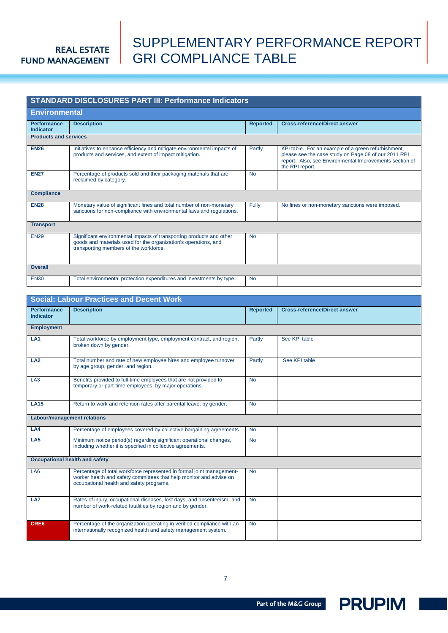## SUPPLEMENTARY PERFORMANCE REPORT GRI COMPLIANCE TABLE

|                                 | <b>STANDARD DISCLOSURES PART III: Performance Indicators</b>                                                                                                                      |                 |                                                                                                                                                                                           |
|---------------------------------|-----------------------------------------------------------------------------------------------------------------------------------------------------------------------------------|-----------------|-------------------------------------------------------------------------------------------------------------------------------------------------------------------------------------------|
| <b>Environmental</b>            |                                                                                                                                                                                   |                 |                                                                                                                                                                                           |
| <b>Performance</b><br>Indicator | <b>Description</b>                                                                                                                                                                | <b>Reported</b> | <b>Cross-reference/Direct answer</b>                                                                                                                                                      |
| <b>Products and services</b>    |                                                                                                                                                                                   |                 |                                                                                                                                                                                           |
| <b>EN26</b>                     | Initiatives to enhance efficiency and mitigate environmental impacts of<br>products and services, and extent of impact mitigation.                                                | Partly          | KPI table. For an example of a green refurbishment,<br>please see the case study on Page 08 of our 2011 RPI<br>report. Also, see Environmental Improvements section of<br>the RPI report. |
| <b>EN27</b>                     | Percentage of products sold and their packaging materials that are<br>reclaimed by category.                                                                                      | <b>No</b>       |                                                                                                                                                                                           |
| <b>Compliance</b>               |                                                                                                                                                                                   |                 |                                                                                                                                                                                           |
| <b>EN28</b>                     | Monetary value of significant fines and total number of non-monetary<br>sanctions for non-compliance with environmental laws and regulations.                                     | Fully           | No fines or non-monetary sanctions were imposed.                                                                                                                                          |
| <b>Transport</b>                |                                                                                                                                                                                   |                 |                                                                                                                                                                                           |
| <b>EN29</b>                     | Significant environmental impacts of transporting products and other<br>goods and materials used for the organization's operations, and<br>transporting members of the workforce. | <b>No</b>       |                                                                                                                                                                                           |
| <b>Overall</b>                  |                                                                                                                                                                                   |                 |                                                                                                                                                                                           |
| <b>EN30</b>                     | Total environmental protection expenditures and investments by type.                                                                                                              | <b>No</b>       |                                                                                                                                                                                           |

### **Social: Labour Practices and Decent Work**

| <b>Performance</b><br><b>Indicator</b> | <b>Description</b>                                                                                                                                                                       | <b>Reported</b> | <b>Cross-reference/Direct answer</b> |
|----------------------------------------|------------------------------------------------------------------------------------------------------------------------------------------------------------------------------------------|-----------------|--------------------------------------|
| <b>Employment</b>                      |                                                                                                                                                                                          |                 |                                      |
| LA <sub>1</sub>                        | Total workforce by employment type, employment contract, and region,<br>broken down by gender.                                                                                           | Partly          | See KPI table                        |
| LA <sub>2</sub>                        | Total number and rate of new employee hires and employee turnover<br>by age group, gender, and region.                                                                                   | Partly          | See KPI table                        |
| LA <sub>3</sub>                        | Benefits provided to full-time employees that are not provided to<br>temporary or part-time employees, by major operations.                                                              | <b>No</b>       |                                      |
| <b>LA15</b>                            | Return to work and retention rates after parental leave, by gender.                                                                                                                      | <b>No</b>       |                                      |
|                                        | <b>Labour/management relations</b>                                                                                                                                                       |                 |                                      |
| LA4                                    | Percentage of employees covered by collective bargaining agreements.                                                                                                                     | <b>No</b>       |                                      |
| LA5                                    | Minimum notice period(s) regarding significant operational changes,<br>including whether it is specified in collective agreements.                                                       | <b>No</b>       |                                      |
|                                        | <b>Occupational health and safety</b>                                                                                                                                                    |                 |                                      |
| LA <sub>6</sub>                        | Percentage of total workforce represented in formal joint management-<br>worker health and safety committees that help monitor and advise on<br>occupational health and safety programs. | <b>No</b>       |                                      |
| LA7                                    | Rates of injury, occupational diseases, lost days, and absenteeism, and<br>number of work-related fatalities by region and by gender.                                                    | <b>No</b>       |                                      |
| CRE6                                   | Percentage of the organization operating in verified compliance with an<br>internationally recognized health and safety management system.                                               | <b>No</b>       |                                      |

Part of the M&G Group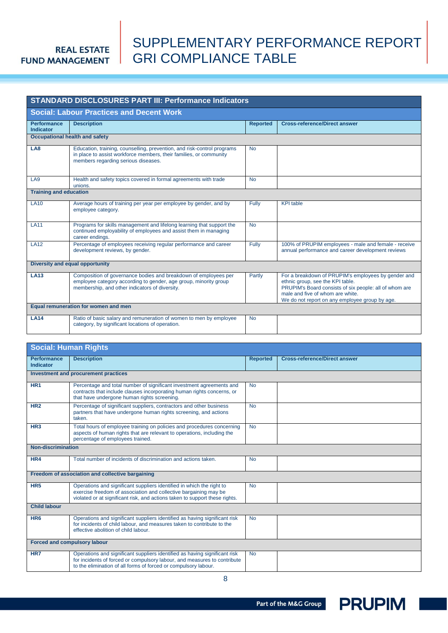## SUPPLEMENTARY PERFORMANCE REPORT GRI COMPLIANCE TABLE

|                                        | <b>STANDARD DISCLOSURES PART III: Performance Indicators</b>                                                                                                                          |                 |                                                                                                                                                                                                                                         |
|----------------------------------------|---------------------------------------------------------------------------------------------------------------------------------------------------------------------------------------|-----------------|-----------------------------------------------------------------------------------------------------------------------------------------------------------------------------------------------------------------------------------------|
|                                        | <b>Social: Labour Practices and Decent Work</b>                                                                                                                                       |                 |                                                                                                                                                                                                                                         |
| <b>Performance</b><br><b>Indicator</b> | <b>Description</b>                                                                                                                                                                    | <b>Reported</b> | <b>Cross-reference/Direct answer</b>                                                                                                                                                                                                    |
|                                        | <b>Occupational health and safety</b>                                                                                                                                                 |                 |                                                                                                                                                                                                                                         |
| LA8                                    | Education, training, counselling, prevention, and risk-control programs<br>in place to assist workforce members, their families, or community<br>members regarding serious diseases.  | <b>No</b>       |                                                                                                                                                                                                                                         |
| LA9                                    | Health and safety topics covered in formal agreements with trade<br>unions.                                                                                                           | <b>No</b>       |                                                                                                                                                                                                                                         |
| <b>Training and education</b>          |                                                                                                                                                                                       |                 |                                                                                                                                                                                                                                         |
| <b>LA10</b>                            | Average hours of training per year per employee by gender, and by<br>employee category.                                                                                               | Fully           | <b>KPI</b> table                                                                                                                                                                                                                        |
| <b>LA11</b>                            | Programs for skills management and lifelong learning that support the<br>continued employability of employees and assist them in managing<br>career endings.                          | <b>No</b>       |                                                                                                                                                                                                                                         |
| <b>LA12</b>                            | Percentage of employees receiving regular performance and career<br>development reviews, by gender.                                                                                   | Fully           | 100% of PRUPIM employees - male and female - receive<br>annual performance and career development reviews                                                                                                                               |
|                                        | Diversity and equal opportunity                                                                                                                                                       |                 |                                                                                                                                                                                                                                         |
| <b>LA13</b>                            | Composition of governance bodies and breakdown of employees per<br>employee category according to gender, age group, minority group<br>membership, and other indicators of diversity. | Partly          | For a breakdown of PRUPIM's employees by gender and<br>ethnic group, see the KPI table.<br>PRUPIM's Board consists of six people: all of whom are<br>male and five of whom are white.<br>We do not report on any employee group by age. |
|                                        | Equal remuneration for women and men                                                                                                                                                  |                 |                                                                                                                                                                                                                                         |
| <b>LA14</b>                            | Ratio of basic salary and remuneration of women to men by employee<br>category, by significant locations of operation.                                                                | <b>No</b>       |                                                                                                                                                                                                                                         |

| <b>Performance</b><br><b>Description</b><br><b>Cross-reference/Direct answer</b><br><b>Reported</b><br>Indicator<br>Investment and procurement practices<br>HR <sub>1</sub><br>Percentage and total number of significant investment agreements and<br><b>No</b><br>contracts that include clauses incorporating human rights concerns, or<br>that have undergone human rights screening.<br>Percentage of significant suppliers, contractors and other business<br><b>No</b><br>HR <sub>2</sub><br>partners that have undergone human rights screening, and actions<br>taken.<br>Total hours of employee training on policies and procedures concerning<br><b>No</b><br>HR <sub>3</sub><br>aspects of human rights that are relevant to operations, including the<br>percentage of employees trained.<br><b>Non-discrimination</b><br>HR4<br>Total number of incidents of discrimination and actions taken.<br><b>No</b><br>Freedom of association and collective bargaining<br>HR <sub>5</sub><br>Operations and significant suppliers identified in which the right to<br><b>No</b><br>exercise freedom of association and collective bargaining may be<br>violated or at significant risk, and actions taken to support these rights.<br><b>Child labour</b><br>Operations and significant suppliers identified as having significant risk<br>HR <sub>6</sub><br><b>No</b><br>for incidents of child labour, and measures taken to contribute to the<br>effective abolition of child labour.<br><b>Forced and compulsory labour</b><br>Operations and significant suppliers identified as having significant risk<br><b>No</b><br>HR7<br>for incidents of forced or compulsory labour, and measures to contribute<br>to the elimination of all forms of forced or compulsory labour. | <b>Social: Human Rights</b> |  |  |  |  |  |
|------------------------------------------------------------------------------------------------------------------------------------------------------------------------------------------------------------------------------------------------------------------------------------------------------------------------------------------------------------------------------------------------------------------------------------------------------------------------------------------------------------------------------------------------------------------------------------------------------------------------------------------------------------------------------------------------------------------------------------------------------------------------------------------------------------------------------------------------------------------------------------------------------------------------------------------------------------------------------------------------------------------------------------------------------------------------------------------------------------------------------------------------------------------------------------------------------------------------------------------------------------------------------------------------------------------------------------------------------------------------------------------------------------------------------------------------------------------------------------------------------------------------------------------------------------------------------------------------------------------------------------------------------------------------------------------------------------------------------------------------------------------------------------------|-----------------------------|--|--|--|--|--|
|                                                                                                                                                                                                                                                                                                                                                                                                                                                                                                                                                                                                                                                                                                                                                                                                                                                                                                                                                                                                                                                                                                                                                                                                                                                                                                                                                                                                                                                                                                                                                                                                                                                                                                                                                                                          |                             |  |  |  |  |  |
|                                                                                                                                                                                                                                                                                                                                                                                                                                                                                                                                                                                                                                                                                                                                                                                                                                                                                                                                                                                                                                                                                                                                                                                                                                                                                                                                                                                                                                                                                                                                                                                                                                                                                                                                                                                          |                             |  |  |  |  |  |
|                                                                                                                                                                                                                                                                                                                                                                                                                                                                                                                                                                                                                                                                                                                                                                                                                                                                                                                                                                                                                                                                                                                                                                                                                                                                                                                                                                                                                                                                                                                                                                                                                                                                                                                                                                                          |                             |  |  |  |  |  |
|                                                                                                                                                                                                                                                                                                                                                                                                                                                                                                                                                                                                                                                                                                                                                                                                                                                                                                                                                                                                                                                                                                                                                                                                                                                                                                                                                                                                                                                                                                                                                                                                                                                                                                                                                                                          |                             |  |  |  |  |  |
|                                                                                                                                                                                                                                                                                                                                                                                                                                                                                                                                                                                                                                                                                                                                                                                                                                                                                                                                                                                                                                                                                                                                                                                                                                                                                                                                                                                                                                                                                                                                                                                                                                                                                                                                                                                          |                             |  |  |  |  |  |
|                                                                                                                                                                                                                                                                                                                                                                                                                                                                                                                                                                                                                                                                                                                                                                                                                                                                                                                                                                                                                                                                                                                                                                                                                                                                                                                                                                                                                                                                                                                                                                                                                                                                                                                                                                                          |                             |  |  |  |  |  |
|                                                                                                                                                                                                                                                                                                                                                                                                                                                                                                                                                                                                                                                                                                                                                                                                                                                                                                                                                                                                                                                                                                                                                                                                                                                                                                                                                                                                                                                                                                                                                                                                                                                                                                                                                                                          |                             |  |  |  |  |  |
|                                                                                                                                                                                                                                                                                                                                                                                                                                                                                                                                                                                                                                                                                                                                                                                                                                                                                                                                                                                                                                                                                                                                                                                                                                                                                                                                                                                                                                                                                                                                                                                                                                                                                                                                                                                          |                             |  |  |  |  |  |
|                                                                                                                                                                                                                                                                                                                                                                                                                                                                                                                                                                                                                                                                                                                                                                                                                                                                                                                                                                                                                                                                                                                                                                                                                                                                                                                                                                                                                                                                                                                                                                                                                                                                                                                                                                                          |                             |  |  |  |  |  |
|                                                                                                                                                                                                                                                                                                                                                                                                                                                                                                                                                                                                                                                                                                                                                                                                                                                                                                                                                                                                                                                                                                                                                                                                                                                                                                                                                                                                                                                                                                                                                                                                                                                                                                                                                                                          |                             |  |  |  |  |  |
|                                                                                                                                                                                                                                                                                                                                                                                                                                                                                                                                                                                                                                                                                                                                                                                                                                                                                                                                                                                                                                                                                                                                                                                                                                                                                                                                                                                                                                                                                                                                                                                                                                                                                                                                                                                          |                             |  |  |  |  |  |
|                                                                                                                                                                                                                                                                                                                                                                                                                                                                                                                                                                                                                                                                                                                                                                                                                                                                                                                                                                                                                                                                                                                                                                                                                                                                                                                                                                                                                                                                                                                                                                                                                                                                                                                                                                                          |                             |  |  |  |  |  |
|                                                                                                                                                                                                                                                                                                                                                                                                                                                                                                                                                                                                                                                                                                                                                                                                                                                                                                                                                                                                                                                                                                                                                                                                                                                                                                                                                                                                                                                                                                                                                                                                                                                                                                                                                                                          |                             |  |  |  |  |  |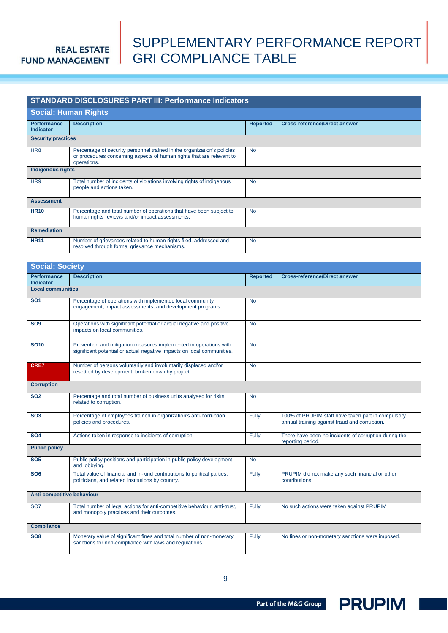## SUPPLEMENTARY PERFORMANCE REPORT GRI COMPLIANCE TABLE

|                                 | <b>STANDARD DISCLOSURES PART III: Performance Indicators</b>                                                                                                    |                 |                                      |  |  |  |
|---------------------------------|-----------------------------------------------------------------------------------------------------------------------------------------------------------------|-----------------|--------------------------------------|--|--|--|
|                                 | <b>Social: Human Rights</b>                                                                                                                                     |                 |                                      |  |  |  |
| <b>Performance</b><br>Indicator | <b>Description</b>                                                                                                                                              | <b>Reported</b> | <b>Cross-reference/Direct answer</b> |  |  |  |
| <b>Security practices</b>       |                                                                                                                                                                 |                 |                                      |  |  |  |
| HR <sub>8</sub>                 | Percentage of security personnel trained in the organization's policies<br>or procedures concerning aspects of human rights that are relevant to<br>operations. | <b>No</b>       |                                      |  |  |  |
| <b>Indigenous rights</b>        |                                                                                                                                                                 |                 |                                      |  |  |  |
| HR9                             | Total number of incidents of violations involving rights of indigenous<br>people and actions taken.                                                             | <b>No</b>       |                                      |  |  |  |
| <b>Assessment</b>               |                                                                                                                                                                 |                 |                                      |  |  |  |
| <b>HR10</b>                     | Percentage and total number of operations that have been subject to<br>human rights reviews and/or impact assessments.                                          | <b>No</b>       |                                      |  |  |  |
| <b>Remediation</b>              |                                                                                                                                                                 |                 |                                      |  |  |  |
| <b>HR11</b>                     | Number of grievances related to human rights filed, addressed and<br>resolved through formal grievance mechanisms.                                              | <b>No</b>       |                                      |  |  |  |

| <b>Social: Society</b>                 |                                                                                                                                             |                 |                                                                                                     |
|----------------------------------------|---------------------------------------------------------------------------------------------------------------------------------------------|-----------------|-----------------------------------------------------------------------------------------------------|
| <b>Performance</b><br><b>Indicator</b> | <b>Description</b>                                                                                                                          | <b>Reported</b> | <b>Cross-reference/Direct answer</b>                                                                |
| <b>Local communities</b>               |                                                                                                                                             |                 |                                                                                                     |
| <b>SO1</b>                             | Percentage of operations with implemented local community<br>engagement, impact assessments, and development programs.                      | <b>No</b>       |                                                                                                     |
| SO <sub>9</sub>                        | Operations with significant potential or actual negative and positive<br>impacts on local communities.                                      | <b>No</b>       |                                                                                                     |
| <b>SO10</b>                            | Prevention and mitigation measures implemented in operations with<br>significant potential or actual negative impacts on local communities. | <b>No</b>       |                                                                                                     |
| <b>CRE7</b>                            | Number of persons voluntarily and involuntarily displaced and/or<br>resettled by development, broken down by project.                       | <b>No</b>       |                                                                                                     |
| <b>Corruption</b>                      |                                                                                                                                             |                 |                                                                                                     |
| <b>SO2</b>                             | Percentage and total number of business units analysed for risks<br>related to corruption.                                                  | <b>No</b>       |                                                                                                     |
| <b>SO3</b>                             | Percentage of employees trained in organization's anti-corruption<br>policies and procedures.                                               | Fully           | 100% of PRUPIM staff have taken part in compulsory<br>annual training against fraud and corruption. |
| <b>SO4</b>                             | Actions taken in response to incidents of corruption.                                                                                       | Fully           | There have been no incidents of corruption during the<br>reporting period.                          |
| <b>Public policy</b>                   |                                                                                                                                             |                 |                                                                                                     |
| SO <sub>5</sub>                        | Public policy positions and participation in public policy development<br>and lobbying.                                                     | <b>No</b>       |                                                                                                     |
| SO <sub>6</sub>                        | Total value of financial and in-kind contributions to political parties,<br>politicians, and related institutions by country.               | Fully           | PRUPIM did not make any such financial or other<br>contributions                                    |
| Anti-competitive behaviour             |                                                                                                                                             |                 |                                                                                                     |
| SO <sub>7</sub>                        | Total number of legal actions for anti-competitive behaviour, anti-trust,<br>and monopoly practices and their outcomes.                     | Fully           | No such actions were taken against PRUPIM                                                           |
| <b>Compliance</b>                      |                                                                                                                                             |                 |                                                                                                     |
| SO <sub>8</sub>                        | Monetary value of significant fines and total number of non-monetary<br>sanctions for non-compliance with laws and regulations.             | Fully           | No fines or non-monetary sanctions were imposed.                                                    |

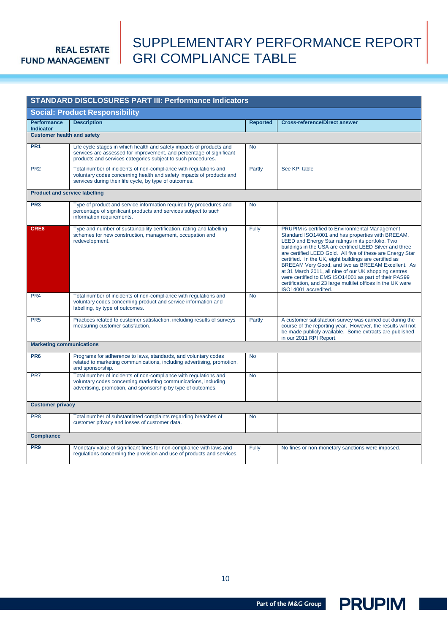## SUPPLEMENTARY PERFORMANCE REPORT GRI COMPLIANCE TABLE

|                                        | <b>STANDARD DISCLOSURES PART III: Performance Indicators</b>                                                                                                                                                 |                 |                                                                                                                                                                                                                                                                                                                                                                                                                                                                                                                                                                                                              |
|----------------------------------------|--------------------------------------------------------------------------------------------------------------------------------------------------------------------------------------------------------------|-----------------|--------------------------------------------------------------------------------------------------------------------------------------------------------------------------------------------------------------------------------------------------------------------------------------------------------------------------------------------------------------------------------------------------------------------------------------------------------------------------------------------------------------------------------------------------------------------------------------------------------------|
|                                        | <b>Social: Product Responsibility</b>                                                                                                                                                                        |                 |                                                                                                                                                                                                                                                                                                                                                                                                                                                                                                                                                                                                              |
| <b>Performance</b><br><b>Indicator</b> | <b>Description</b>                                                                                                                                                                                           | <b>Reported</b> | <b>Cross-reference/Direct answer</b>                                                                                                                                                                                                                                                                                                                                                                                                                                                                                                                                                                         |
| <b>Customer health and safety</b>      |                                                                                                                                                                                                              |                 |                                                                                                                                                                                                                                                                                                                                                                                                                                                                                                                                                                                                              |
| PR <sub>1</sub>                        | Life cycle stages in which health and safety impacts of products and<br>services are assessed for improvement, and percentage of significant<br>products and services categories subject to such procedures. | <b>No</b>       |                                                                                                                                                                                                                                                                                                                                                                                                                                                                                                                                                                                                              |
| PR <sub>2</sub>                        | Total number of incidents of non-compliance with regulations and<br>voluntary codes concerning health and safety impacts of products and<br>services during their life cycle, by type of outcomes.           | Partly          | See KPI table                                                                                                                                                                                                                                                                                                                                                                                                                                                                                                                                                                                                |
| <b>Product and service labelling</b>   |                                                                                                                                                                                                              |                 |                                                                                                                                                                                                                                                                                                                                                                                                                                                                                                                                                                                                              |
| PR <sub>3</sub>                        | Type of product and service information required by procedures and<br>percentage of significant products and services subject to such<br>information requirements.                                           | <b>No</b>       |                                                                                                                                                                                                                                                                                                                                                                                                                                                                                                                                                                                                              |
| CRE8                                   | Type and number of sustainability certification, rating and labelling<br>schemes for new construction, management, occupation and<br>redevelopment.                                                          | Fully           | PRUPIM is certified to Environmental Management<br>Standard ISO14001 and has properties with BREEAM,<br>LEED and Energy Star ratings in its portfolio. Two<br>buildings in the USA are certified LEED Silver and three<br>are certified LEED Gold. All five of these are Energy Star<br>certified. In the UK, eight buildings are certified as<br>BREEAM Very Good, and two as BREEAM Excellent. As<br>at 31 March 2011, all nine of our UK shopping centres<br>were certified to EMS ISO14001 as part of their PAS99<br>certification, and 23 large multilet offices in the UK were<br>ISO14001 accredited. |
| PR4                                    | Total number of incidents of non-compliance with regulations and<br>voluntary codes concerning product and service information and<br>labelling, by type of outcomes.                                        | <b>No</b>       |                                                                                                                                                                                                                                                                                                                                                                                                                                                                                                                                                                                                              |
| PR <sub>5</sub>                        | Practices related to customer satisfaction, including results of surveys<br>measuring customer satisfaction.                                                                                                 | Partly          | A customer satisfaction survey was carried out during the<br>course of the reporting year. However, the results will not<br>be made publicly available. Some extracts are published<br>in our 2011 RPI Report.                                                                                                                                                                                                                                                                                                                                                                                               |
| <b>Marketing communications</b>        |                                                                                                                                                                                                              |                 |                                                                                                                                                                                                                                                                                                                                                                                                                                                                                                                                                                                                              |
| PR <sub>6</sub>                        | Programs for adherence to laws, standards, and voluntary codes<br>related to marketing communications, including advertising, promotion,<br>and sponsorship.                                                 | <b>No</b>       |                                                                                                                                                                                                                                                                                                                                                                                                                                                                                                                                                                                                              |
| PR7                                    | Total number of incidents of non-compliance with regulations and<br>voluntary codes concerning marketing communications, including<br>advertising, promotion, and sponsorship by type of outcomes.           | <b>No</b>       |                                                                                                                                                                                                                                                                                                                                                                                                                                                                                                                                                                                                              |
| <b>Customer privacy</b>                |                                                                                                                                                                                                              |                 |                                                                                                                                                                                                                                                                                                                                                                                                                                                                                                                                                                                                              |
| PR <sub>8</sub>                        | Total number of substantiated complaints regarding breaches of<br>customer privacy and losses of customer data.                                                                                              | <b>No</b>       |                                                                                                                                                                                                                                                                                                                                                                                                                                                                                                                                                                                                              |
| <b>Compliance</b>                      |                                                                                                                                                                                                              |                 |                                                                                                                                                                                                                                                                                                                                                                                                                                                                                                                                                                                                              |
| PR <sub>9</sub>                        | Monetary value of significant fines for non-compliance with laws and<br>regulations concerning the provision and use of products and services.                                                               | Fully           | No fines or non-monetary sanctions were imposed.                                                                                                                                                                                                                                                                                                                                                                                                                                                                                                                                                             |



Part of the M&G Group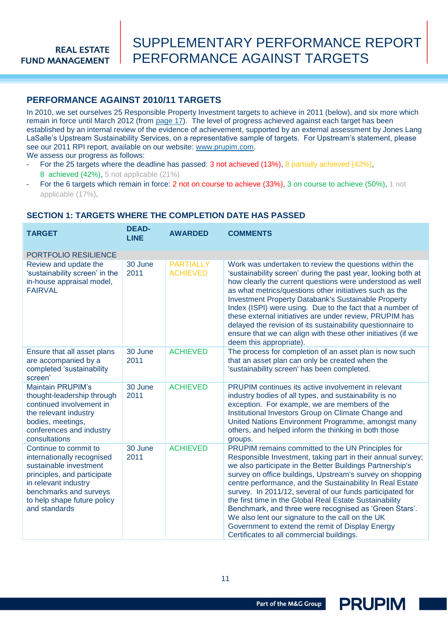## SUPPLEMENTARY PERFORMANCE REPORT PERFORMANCE AGAINST TARGETS

### <span id="page-10-0"></span>**PERFORMANCE AGAINST 2010/11 TARGETS**

In 2010, we set ourselves 25 Responsible Property Investment targets to achieve in 2011 (below), and six more which remain in force until March 2012 (from [page 17](#page-16-0)). The level of progress achieved against each target has been established by an internal review of the evidence of achievement, supported by an external assessment by Jones Lang LaSalle"s Upstream Sustainability Services, on a representative sample of targets. For Upstream"s statement, please see our 2011 RPI report, available on our website: [www.prupim.com.](http://www.prupim.com/)

We assess our progress as follows:

- For the 25 targets where the deadline has passed: 3 not achieved (13%), 8 partially achieved (42%), 8 achieved (42%), 5 not applicable (21%)
- For the 6 targets which remain in force: 2 not on course to achieve (33%), 3 on course to achieve (50%), 1 not applicable (17%).

<span id="page-10-1"></span>

| <b>TARGET</b>                                                                                                                                                                                                  | <b>DEAD-</b><br><b>LINE</b> | <b>AWARDED</b>                      | <b>COMMENTS</b>                                                                                                                                                                                                                                                                                                                                                                                                                                                                                                                                                                                                                                |
|----------------------------------------------------------------------------------------------------------------------------------------------------------------------------------------------------------------|-----------------------------|-------------------------------------|------------------------------------------------------------------------------------------------------------------------------------------------------------------------------------------------------------------------------------------------------------------------------------------------------------------------------------------------------------------------------------------------------------------------------------------------------------------------------------------------------------------------------------------------------------------------------------------------------------------------------------------------|
| <b>PORTFOLIO RESILIENCE</b>                                                                                                                                                                                    |                             |                                     |                                                                                                                                                                                                                                                                                                                                                                                                                                                                                                                                                                                                                                                |
| Review and update the<br>'sustainability screen' in the<br>in-house appraisal model,<br><b>FAIRVAL</b>                                                                                                         | 30 June<br>2011             | <b>PARTIALLY</b><br><b>ACHIEVED</b> | Work was undertaken to review the questions within the<br>'sustainability screen' during the past year, looking both at<br>how clearly the current questions were understood as well<br>as what metrics/questions other initiatives such as the<br><b>Investment Property Databank's Sustainable Property</b><br>Index (ISPI) were using. Due to the fact that a number of<br>these external initiatives are under review, PRUPIM has<br>delayed the revision of its sustainability questionnaire to<br>ensure that we can align with these other initiatives (if we<br>deem this appropriate).                                                |
| Ensure that all asset plans<br>are accompanied by a<br>completed 'sustainability<br>screen'                                                                                                                    | 30 June<br>2011             | <b>ACHIEVED</b>                     | The process for completion of an asset plan is now such<br>that an asset plan can only be created when the<br>'sustainability screen' has been completed.                                                                                                                                                                                                                                                                                                                                                                                                                                                                                      |
| <b>Maintain PRUPIM's</b><br>thought-leadership through<br>continued involvement in<br>the relevant industry<br>bodies, meetings,<br>conferences and industry<br>consultations                                  | 30 June<br>2011             | <b>ACHIEVED</b>                     | <b>PRUPIM</b> continues its active involvement in relevant<br>industry bodies of all types, and sustainability is no<br>exception. For example, we are members of the<br>Institutional Investors Group on Climate Change and<br>United Nations Environment Programme, amongst many<br>others, and helped inform the thinking in both those<br>groups.                                                                                                                                                                                                                                                                                          |
| Continue to commit to<br>internationally recognised<br>sustainable investment<br>principles, and participate<br>in relevant industry<br>benchmarks and surveys<br>to help shape future policy<br>and standards | 30 June<br>2011             | <b>ACHIEVED</b>                     | PRUPIM remains committed to the UN Principles for<br>Responsible Investment, taking part in their annual survey;<br>we also participate in the Better Buildings Partnership's<br>survey on office buildings, Upstream's survey on shopping<br>centre performance, and the Sustainability In Real Estate<br>survey. In 2011/12, several of our funds participated for<br>the first time in the Global Real Estate Sustainability<br>Benchmark, and three were recognised as 'Green Stars'.<br>We also lent our signature to the call on the UK<br>Government to extend the remit of Display Energy<br>Certificates to all commercial buildings. |

#### **SECTION 1: TARGETS WHERE THE COMPLETION DATE HAS PASSED**

Part of the M&G Group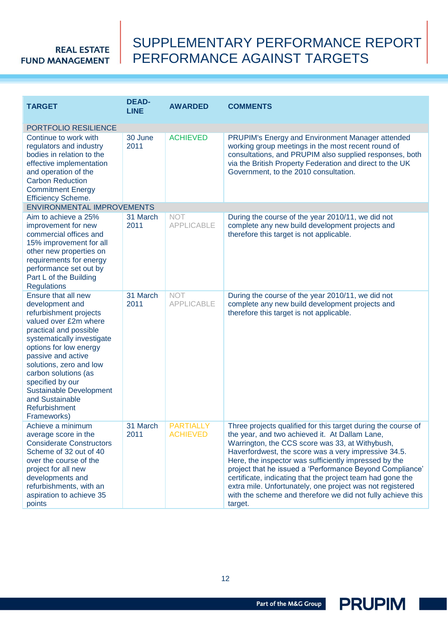## SUPPLEMENTARY PERFORMANCE REPORT PERFORMANCE AGAINST TARGETS

<span id="page-11-0"></span>

| <b>TARGET</b>                                                                                                                                                                                                                                                                                                                                                 | <b>DEAD-</b><br><b>LINE</b> | <b>AWARDED</b>                      | <b>COMMENTS</b>                                                                                                                                                                                                                                                                                                                                                                                                                                                                                                                                      |
|---------------------------------------------------------------------------------------------------------------------------------------------------------------------------------------------------------------------------------------------------------------------------------------------------------------------------------------------------------------|-----------------------------|-------------------------------------|------------------------------------------------------------------------------------------------------------------------------------------------------------------------------------------------------------------------------------------------------------------------------------------------------------------------------------------------------------------------------------------------------------------------------------------------------------------------------------------------------------------------------------------------------|
| PORTFOLIO RESILIENCE                                                                                                                                                                                                                                                                                                                                          |                             |                                     |                                                                                                                                                                                                                                                                                                                                                                                                                                                                                                                                                      |
| Continue to work with<br>regulators and industry<br>bodies in relation to the<br>effective implementation<br>and operation of the<br><b>Carbon Reduction</b><br><b>Commitment Energy</b><br><b>Efficiency Scheme.</b>                                                                                                                                         | 30 June<br>2011             | <b>ACHIEVED</b>                     | PRUPIM's Energy and Environment Manager attended<br>working group meetings in the most recent round of<br>consultations, and PRUPIM also supplied responses, both<br>via the British Property Federation and direct to the UK<br>Government, to the 2010 consultation.                                                                                                                                                                                                                                                                               |
| <b>ENVIRONMENTAL IMPROVEMENTS</b>                                                                                                                                                                                                                                                                                                                             |                             |                                     |                                                                                                                                                                                                                                                                                                                                                                                                                                                                                                                                                      |
| Aim to achieve a 25%<br>improvement for new<br>commercial offices and<br>15% improvement for all<br>other new properties on<br>requirements for energy<br>performance set out by<br>Part L of the Building<br><b>Regulations</b>                                                                                                                              | 31 March<br>2011            | <b>NOT</b><br><b>APPLICABLE</b>     | During the course of the year 2010/11, we did not<br>complete any new build development projects and<br>therefore this target is not applicable.                                                                                                                                                                                                                                                                                                                                                                                                     |
| Ensure that all new<br>development and<br>refurbishment projects<br>valued over £2m where<br>practical and possible<br>systematically investigate<br>options for low energy<br>passive and active<br>solutions, zero and low<br>carbon solutions (as<br>specified by our<br><b>Sustainable Development</b><br>and Sustainable<br>Refurbishment<br>Frameworks) | 31 March<br>2011            | <b>NOT</b><br><b>APPLICABLE</b>     | During the course of the year 2010/11, we did not<br>complete any new build development projects and<br>therefore this target is not applicable.                                                                                                                                                                                                                                                                                                                                                                                                     |
| Achieve a minimum<br>average score in the<br><b>Considerate Constructors</b><br>Scheme of 32 out of 40<br>over the course of the<br>project for all new<br>developments and<br>refurbishments, with an<br>aspiration to achieve 35<br>points                                                                                                                  | 31 March<br>2011            | <b>PARTIALLY</b><br><b>ACHIEVED</b> | Three projects qualified for this target during the course of<br>the year, and two achieved it. At Dallam Lane,<br>Warrington, the CCS score was 33, at Withybush,<br>Haverfordwest, the score was a very impressive 34.5.<br>Here, the inspector was sufficiently impressed by the<br>project that he issued a 'Performance Beyond Compliance'<br>certificate, indicating that the project team had gone the<br>extra mile. Unfortunately, one project was not registered<br>with the scheme and therefore we did not fully achieve this<br>target. |

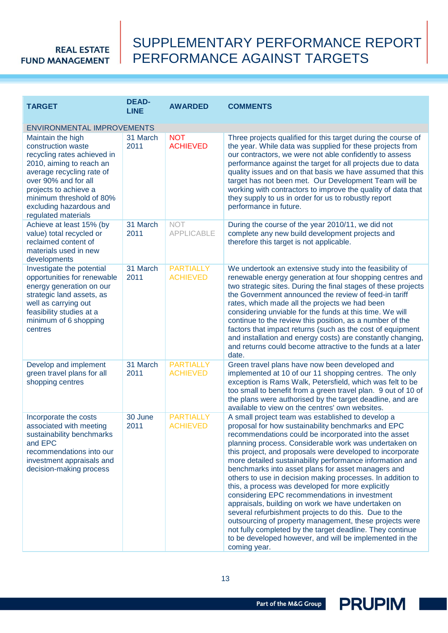## SUPPLEMENTARY PERFORMANCE REPORT PERFORMANCE AGAINST TARGETS

| <b>DEAD-</b><br><b>TARGET</b><br><b>LINE</b>                                                                                                                                                                                                                   |                  | <b>AWARDED</b>                      | <b>COMMENTS</b>                                                                                                                                                                                                                                                                                                                                                                                                                                                                                                                                                                                                                                                                                                                                                                                                                                                                               |
|----------------------------------------------------------------------------------------------------------------------------------------------------------------------------------------------------------------------------------------------------------------|------------------|-------------------------------------|-----------------------------------------------------------------------------------------------------------------------------------------------------------------------------------------------------------------------------------------------------------------------------------------------------------------------------------------------------------------------------------------------------------------------------------------------------------------------------------------------------------------------------------------------------------------------------------------------------------------------------------------------------------------------------------------------------------------------------------------------------------------------------------------------------------------------------------------------------------------------------------------------|
| <b>ENVIRONMENTAL IMPROVEMENTS</b>                                                                                                                                                                                                                              |                  |                                     |                                                                                                                                                                                                                                                                                                                                                                                                                                                                                                                                                                                                                                                                                                                                                                                                                                                                                               |
| Maintain the high<br>construction waste<br>recycling rates achieved in<br>2010, aiming to reach an<br>average recycling rate of<br>over 90% and for all<br>projects to achieve a<br>minimum threshold of 80%<br>excluding hazardous and<br>regulated materials | 31 March<br>2011 | <b>NOT</b><br><b>ACHIEVED</b>       | Three projects qualified for this target during the course of<br>the year. While data was supplied for these projects from<br>our contractors, we were not able confidently to assess<br>performance against the target for all projects due to data<br>quality issues and on that basis we have assumed that this<br>target has not been met. Our Development Team will be<br>working with contractors to improve the quality of data that<br>they supply to us in order for us to robustly report<br>performance in future.                                                                                                                                                                                                                                                                                                                                                                 |
| Achieve at least 15% (by<br>value) total recycled or<br>reclaimed content of<br>materials used in new<br>developments                                                                                                                                          | 31 March<br>2011 | <b>NOT</b><br><b>APPLICABLE</b>     | During the course of the year 2010/11, we did not<br>complete any new build development projects and<br>therefore this target is not applicable.                                                                                                                                                                                                                                                                                                                                                                                                                                                                                                                                                                                                                                                                                                                                              |
| Investigate the potential<br>opportunities for renewable<br>energy generation on our<br>strategic land assets, as<br>well as carrying out<br>feasibility studies at a<br>minimum of 6 shopping<br>centres                                                      | 31 March<br>2011 | <b>PARTIALLY</b><br><b>ACHIEVED</b> | We undertook an extensive study into the feasibility of<br>renewable energy generation at four shopping centres and<br>two strategic sites. During the final stages of these projects<br>the Government announced the review of feed-in tariff<br>rates, which made all the projects we had been<br>considering unviable for the funds at this time. We will<br>continue to the review this position, as a number of the<br>factors that impact returns (such as the cost of equipment<br>and installation and energy costs) are constantly changing,<br>and returns could become attractive to the funds at a later<br>date.                                                                                                                                                                                                                                                                 |
| Develop and implement<br>green travel plans for all<br>shopping centres                                                                                                                                                                                        | 31 March<br>2011 | <b>PARTIALLY</b><br><b>ACHIEVED</b> | Green travel plans have now been developed and<br>implemented at 10 of our 11 shopping centres. The only<br>exception is Rams Walk, Petersfield, which was felt to be<br>too small to benefit from a green travel plan. 9 out of 10 of<br>the plans were authorised by the target deadline, and are<br>available to view on the centres' own websites.                                                                                                                                                                                                                                                                                                                                                                                                                                                                                                                                        |
| Incorporate the costs<br>associated with meeting<br>sustainability benchmarks<br>and EPC<br>recommendations into our<br>investment appraisals and<br>decision-making process                                                                                   | 30 June<br>2011  | <b>PARTIALLY</b><br><b>ACHIEVED</b> | A small project team was established to develop a<br>proposal for how sustainability benchmarks and EPC<br>recommendations could be incorporated into the asset<br>planning process. Considerable work was undertaken on<br>this project, and proposals were developed to incorporate<br>more detailed sustainability performance information and<br>benchmarks into asset plans for asset managers and<br>others to use in decision making processes. In addition to<br>this, a process was developed for more explicitly<br>considering EPC recommendations in investment<br>appraisals, building on work we have undertaken on<br>several refurbishment projects to do this. Due to the<br>outsourcing of property management, these projects were<br>not fully completed by the target deadline. They continue<br>to be developed however, and will be implemented in the<br>coming year. |

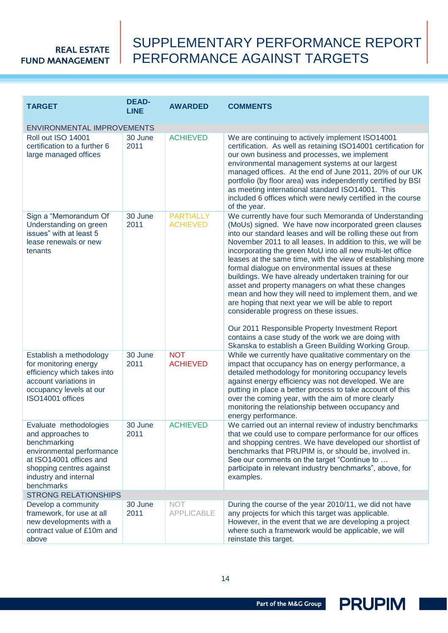## SUPPLEMENTARY PERFORMANCE REPORT PERFORMANCE AGAINST TARGETS

| <b>TARGET</b>                                                                                                                                                                          | <b>DEAD-</b><br><b>LINE</b> | <b>AWARDED</b>                      | <b>COMMENTS</b>                                                                                                                                                                                                                                                                                                                                                                                                                                                                                                                                                                                                                                                                                                                                                                                                                                                           |
|----------------------------------------------------------------------------------------------------------------------------------------------------------------------------------------|-----------------------------|-------------------------------------|---------------------------------------------------------------------------------------------------------------------------------------------------------------------------------------------------------------------------------------------------------------------------------------------------------------------------------------------------------------------------------------------------------------------------------------------------------------------------------------------------------------------------------------------------------------------------------------------------------------------------------------------------------------------------------------------------------------------------------------------------------------------------------------------------------------------------------------------------------------------------|
| <b>ENVIRONMENTAL IMPROVEMENTS</b>                                                                                                                                                      |                             |                                     |                                                                                                                                                                                                                                                                                                                                                                                                                                                                                                                                                                                                                                                                                                                                                                                                                                                                           |
| Roll out ISO 14001<br>certification to a further 6<br>large managed offices                                                                                                            | 30 June<br>2011             | <b>ACHIEVED</b>                     | We are continuing to actively implement ISO14001<br>certification. As well as retaining ISO14001 certification for<br>our own business and processes, we implement<br>environmental management systems at our largest<br>managed offices. At the end of June 2011, 20% of our UK<br>portfolio (by floor area) was independently certified by BSI<br>as meeting international standard ISO14001. This<br>included 6 offices which were newly certified in the course<br>of the year.                                                                                                                                                                                                                                                                                                                                                                                       |
| Sign a "Memorandum Of<br>Understanding on green<br>issues" with at least 5<br>lease renewals or new<br>tenants                                                                         | 30 June<br>2011             | <b>PARTIALLY</b><br><b>ACHIEVED</b> | We currently have four such Memoranda of Understanding<br>(MoUs) signed. We have now incorporated green clauses<br>into our standard leases and will be rolling these out from<br>November 2011 to all leases. In addition to this, we will be<br>incorporating the green MoU into all new multi-let office<br>leases at the same time, with the view of establishing more<br>formal dialogue on environmental issues at these<br>buildings. We have already undertaken training for our<br>asset and property managers on what these changes<br>mean and how they will need to implement them, and we<br>are hoping that next year we will be able to report<br>considerable progress on these issues.<br>Our 2011 Responsible Property Investment Report<br>contains a case study of the work we are doing with<br>Skanska to establish a Green Building Working Group. |
| Establish a methodology<br>for monitoring energy<br>efficiency which takes into<br>account variations in<br>occupancy levels at our<br>ISO14001 offices                                | 30 June<br>2011             | <b>NOT</b><br><b>ACHIEVED</b>       | While we currently have qualitative commentary on the<br>impact that occupancy has on energy performance, a<br>detailed methodology for monitoring occupancy levels<br>against energy efficiency was not developed. We are<br>putting in place a better process to take account of this<br>over the coming year, with the aim of more clearly<br>monitoring the relationship between occupancy and<br>energy performance.                                                                                                                                                                                                                                                                                                                                                                                                                                                 |
| Evaluate methodologies<br>and approaches to<br>benchmarking<br>environmental performance<br>at ISO14001 offices and<br>shopping centres against<br>industry and internal<br>benchmarks | 30 June<br>2011             | <b>ACHIEVED</b>                     | We carried out an internal review of industry benchmarks<br>that we could use to compare performance for our offices<br>and shopping centres. We have developed our shortlist of<br>benchmarks that PRUPIM is, or should be, involved in.<br>See our comments on the target "Continue to<br>participate in relevant industry benchmarks", above, for<br>examples.                                                                                                                                                                                                                                                                                                                                                                                                                                                                                                         |
| <b>STRONG RELATIONSHIPS</b>                                                                                                                                                            |                             |                                     |                                                                                                                                                                                                                                                                                                                                                                                                                                                                                                                                                                                                                                                                                                                                                                                                                                                                           |
| Develop a community<br>framework, for use at all<br>new developments with a<br>contract value of £10m and<br>above                                                                     | 30 June<br>2011             | <b>NOT</b><br><b>APPLICABLE</b>     | During the course of the year 2010/11, we did not have<br>any projects for which this target was applicable.<br>However, in the event that we are developing a project<br>where such a framework would be applicable, we will<br>reinstate this target.                                                                                                                                                                                                                                                                                                                                                                                                                                                                                                                                                                                                                   |

<span id="page-13-0"></span>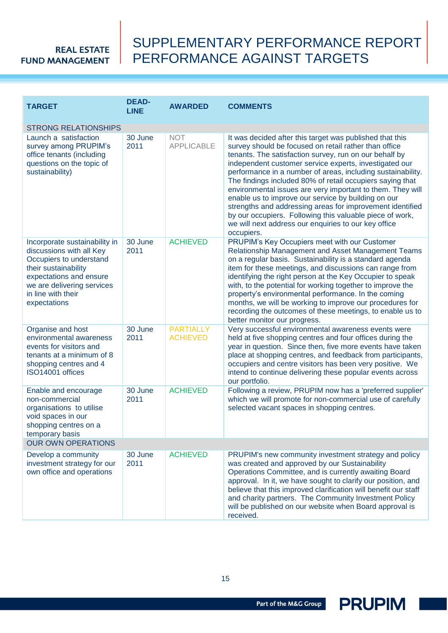## SUPPLEMENTARY PERFORMANCE REPORT PERFORMANCE AGAINST TARGETS

<span id="page-14-0"></span>

| <b>TARGET</b>                                                                                                                                                                                               | <b>DEAD-</b><br><b>LINE</b> | <b>AWARDED</b>                      | <b>COMMENTS</b>                                                                                                                                                                                                                                                                                                                                                                                                                                                                                                                                                                                                                                                                       |  |  |
|-------------------------------------------------------------------------------------------------------------------------------------------------------------------------------------------------------------|-----------------------------|-------------------------------------|---------------------------------------------------------------------------------------------------------------------------------------------------------------------------------------------------------------------------------------------------------------------------------------------------------------------------------------------------------------------------------------------------------------------------------------------------------------------------------------------------------------------------------------------------------------------------------------------------------------------------------------------------------------------------------------|--|--|
| <b>STRONG RELATIONSHIPS</b>                                                                                                                                                                                 |                             |                                     |                                                                                                                                                                                                                                                                                                                                                                                                                                                                                                                                                                                                                                                                                       |  |  |
| Launch a satisfaction<br>survey among PRUPIM's<br>office tenants (including<br>questions on the topic of<br>sustainability)                                                                                 | 30 June<br>2011             | <b>NOT</b><br><b>APPLICABLE</b>     | It was decided after this target was published that this<br>survey should be focused on retail rather than office<br>tenants. The satisfaction survey, run on our behalf by<br>independent customer service experts, investigated our<br>performance in a number of areas, including sustainability.<br>The findings included 80% of retail occupiers saying that<br>environmental issues are very important to them. They will<br>enable us to improve our service by building on our<br>strengths and addressing areas for improvement identified<br>by our occupiers. Following this valuable piece of work,<br>we will next address our enquiries to our key office<br>occupiers. |  |  |
| Incorporate sustainability in<br>discussions with all Key<br>Occupiers to understand<br>their sustainability<br>expectations and ensure<br>we are delivering services<br>in line with their<br>expectations | 30 June<br>2011             | <b>ACHIEVED</b>                     | PRUPIM's Key Occupiers meet with our Customer<br>Relationship Management and Asset Management Teams<br>on a regular basis. Sustainability is a standard agenda<br>item for these meetings, and discussions can range from<br>identifying the right person at the Key Occupier to speak<br>with, to the potential for working together to improve the<br>property's environmental performance. In the coming<br>months, we will be working to improve our procedures for<br>recording the outcomes of these meetings, to enable us to<br>better monitor our progress.                                                                                                                  |  |  |
| Organise and host<br>environmental awareness<br>events for visitors and<br>tenants at a minimum of 8<br>shopping centres and 4<br>ISO14001 offices                                                          | 30 June<br>2011             | <b>PARTIALLY</b><br><b>ACHIEVED</b> | Very successful environmental awareness events were<br>held at five shopping centres and four offices during the<br>year in question. Since then, five more events have taken<br>place at shopping centres, and feedback from participants,<br>occupiers and centre visitors has been very positive. We<br>intend to continue delivering these popular events across<br>our portfolio.                                                                                                                                                                                                                                                                                                |  |  |
| Enable and encourage<br>non-commercial<br>organisations to utilise<br>void spaces in our<br>shopping centres on a<br>temporary basis                                                                        | 30 June<br>2011             | <b>ACHIEVED</b>                     | Following a review, PRUPIM now has a 'preferred supplier'<br>which we will promote for non-commercial use of carefully<br>selected vacant spaces in shopping centres.                                                                                                                                                                                                                                                                                                                                                                                                                                                                                                                 |  |  |
| <b>OUR OWN OPERATIONS</b>                                                                                                                                                                                   |                             |                                     |                                                                                                                                                                                                                                                                                                                                                                                                                                                                                                                                                                                                                                                                                       |  |  |
| Develop a community<br>investment strategy for our<br>own office and operations                                                                                                                             | 30 June<br>2011             | <b>ACHIEVED</b>                     | PRUPIM's new community investment strategy and policy<br>was created and approved by our Sustainability<br>Operations Committee, and is currently awaiting Board<br>approval. In it, we have sought to clarify our position, and<br>believe that this improved clarification will benefit our staff<br>and charity partners. The Community Investment Policy<br>will be published on our website when Board approval is<br>received.                                                                                                                                                                                                                                                  |  |  |

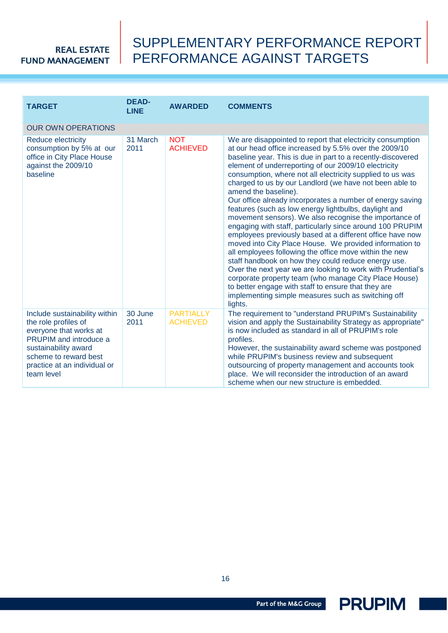## SUPPLEMENTARY PERFORMANCE REPORT PERFORMANCE AGAINST TARGETS

| <b>TARGET</b>                                                                                                                                                                                                   | <b>DEAD-</b><br><b>LINE</b> | <b>AWARDED</b>                      | <b>COMMENTS</b>                                                                                                                                                                                                                                                                                                                                                                                                                                                                                                                                                                                                                                                                                                                                                                                                                                                                                                                                                                                                                                                                                                                  |
|-----------------------------------------------------------------------------------------------------------------------------------------------------------------------------------------------------------------|-----------------------------|-------------------------------------|----------------------------------------------------------------------------------------------------------------------------------------------------------------------------------------------------------------------------------------------------------------------------------------------------------------------------------------------------------------------------------------------------------------------------------------------------------------------------------------------------------------------------------------------------------------------------------------------------------------------------------------------------------------------------------------------------------------------------------------------------------------------------------------------------------------------------------------------------------------------------------------------------------------------------------------------------------------------------------------------------------------------------------------------------------------------------------------------------------------------------------|
| <b>OUR OWN OPERATIONS</b>                                                                                                                                                                                       |                             |                                     |                                                                                                                                                                                                                                                                                                                                                                                                                                                                                                                                                                                                                                                                                                                                                                                                                                                                                                                                                                                                                                                                                                                                  |
| Reduce electricity<br>consumption by 5% at our<br>office in City Place House<br>against the 2009/10<br>baseline                                                                                                 | 31 March<br>2011            | <b>NOT</b><br><b>ACHIEVED</b>       | We are disappointed to report that electricity consumption<br>at our head office increased by 5.5% over the 2009/10<br>baseline year. This is due in part to a recently-discovered<br>element of underreporting of our 2009/10 electricity<br>consumption, where not all electricity supplied to us was<br>charged to us by our Landlord (we have not been able to<br>amend the baseline).<br>Our office already incorporates a number of energy saving<br>features (such as low energy lightbulbs, daylight and<br>movement sensors). We also recognise the importance of<br>engaging with staff, particularly since around 100 PRUPIM<br>employees previously based at a different office have now<br>moved into City Place House. We provided information to<br>all employees following the office move within the new<br>staff handbook on how they could reduce energy use.<br>Over the next year we are looking to work with Prudential's<br>corporate property team (who manage City Place House)<br>to better engage with staff to ensure that they are<br>implementing simple measures such as switching off<br>lights. |
| Include sustainability within<br>the role profiles of<br>everyone that works at<br><b>PRUPIM</b> and introduce a<br>sustainability award<br>scheme to reward best<br>practice at an individual or<br>team level | 30 June<br>2011             | <b>PARTIALLY</b><br><b>ACHIEVED</b> | The requirement to "understand PRUPIM's Sustainability<br>vision and apply the Sustainability Strategy as appropriate"<br>is now included as standard in all of PRUPIM's role<br>profiles.<br>However, the sustainability award scheme was postponed<br>while PRUPIM's business review and subsequent<br>outsourcing of property management and accounts took<br>place. We will reconsider the introduction of an award<br>scheme when our new structure is embedded.                                                                                                                                                                                                                                                                                                                                                                                                                                                                                                                                                                                                                                                            |



Part of the M&G Group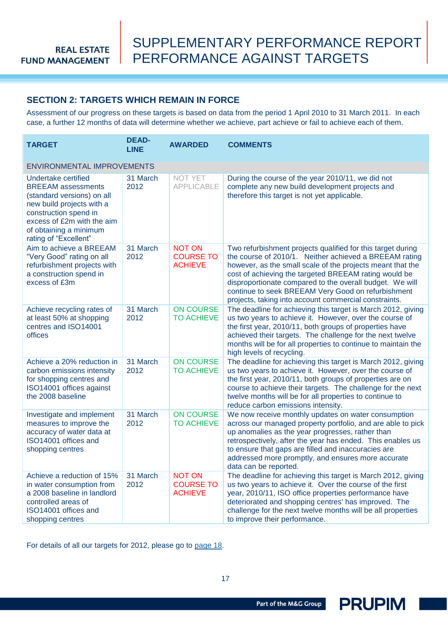### <span id="page-16-0"></span>**SECTION 2: TARGETS WHICH REMAIN IN FORCE**

Assessment of our progress on these targets is based on data from the period 1 April 2010 to 31 March 2011. In each case, a further 12 months of data will determine whether we achieve, part achieve or fail to achieve each of them.

| <b>TARGET</b>                                                                                                                                                                                                         | <b>DEAD-</b><br><b>LINE</b> | <b>AWARDED</b>                                      | <b>COMMENTS</b>                                                                                                                                                                                                                                                                                                                                                                                                         |
|-----------------------------------------------------------------------------------------------------------------------------------------------------------------------------------------------------------------------|-----------------------------|-----------------------------------------------------|-------------------------------------------------------------------------------------------------------------------------------------------------------------------------------------------------------------------------------------------------------------------------------------------------------------------------------------------------------------------------------------------------------------------------|
| <b>ENVIRONMENTAL IMPROVEMENTS</b>                                                                                                                                                                                     |                             |                                                     |                                                                                                                                                                                                                                                                                                                                                                                                                         |
| Undertake certified<br><b>BREEAM</b> assessments<br>(standard versions) on all<br>new build projects with a<br>construction spend in<br>excess of £2m with the aim<br>of obtaining a minimum<br>rating of "Excellent" | 31 March<br>2012            | <b>NOT YET</b><br><b>APPLICABLE</b>                 | During the course of the year 2010/11, we did not<br>complete any new build development projects and<br>therefore this target is not yet applicable.                                                                                                                                                                                                                                                                    |
| Aim to achieve a BREEAM<br>"Very Good" rating on all<br>refurbishment projects with<br>a construction spend in<br>excess of £3m                                                                                       | 31 March<br>2012            | <b>NOT ON</b><br><b>COURSE TO</b><br><b>ACHIEVE</b> | Two refurbishment projects qualified for this target during<br>the course of 2010/1. Neither achieved a BREEAM rating<br>however, as the small scale of the projects meant that the<br>cost of achieving the targeted BREEAM rating would be<br>disproportionate compared to the overall budget. We will<br>continue to seek BREEAM Very Good on refurbishment<br>projects, taking into account commercial constraints. |
| Achieve recycling rates of<br>at least 50% at shopping<br>centres and ISO14001<br>offices                                                                                                                             | 31 March<br>2012            | <b>ON COURSE</b><br><b>TO ACHIEVE</b>               | The deadline for achieving this target is March 2012, giving<br>us two years to achieve it. However, over the course of<br>the first year, 2010/11, both groups of properties have<br>achieved their targets. The challenge for the next twelve<br>months will be for all properties to continue to maintain the<br>high levels of recycling.                                                                           |
| Achieve a 20% reduction in<br>carbon emissions intensity<br>for shopping centres and<br>ISO14001 offices against<br>the 2008 baseline                                                                                 | 31 March<br>2012            | <b>ON COURSE</b><br><b>TO ACHIEVE</b>               | The deadline for achieving this target is March 2012, giving<br>us two years to achieve it. However, over the course of<br>the first year, 2010/11, both groups of properties are on<br>course to achieve their targets. The challenge for the next<br>twelve months will be for all properties to continue to<br>reduce carbon emissions intensity.                                                                    |
| Investigate and implement<br>measures to improve the<br>accuracy of water data at<br>ISO14001 offices and<br>shopping centres                                                                                         | 31 March<br>2012            | <b>ON COURSE</b><br><b>TO ACHIEVE</b>               | We now receive monthly updates on water consumption<br>across our managed property portfolio, and are able to pick<br>up anomalies as the year progresses, rather than<br>retrospectively, after the year has ended. This enables us<br>to ensure that gaps are filled and inaccuracies are<br>addressed more promptly, and ensures more accurate<br>data can be reported.                                              |
| Achieve a reduction of 15%<br>in water consumption from<br>a 2008 baseline in landlord<br>controlled areas of<br>ISO14001 offices and<br>shopping centres                                                             | 31 March<br>2012            | <b>NOT ON</b><br><b>COURSE TO</b><br><b>ACHIEVE</b> | The deadline for achieving this target is March 2012, giving<br>us two years to achieve it. Over the course of the first<br>year, 2010/11, ISO office properties performance have<br>deteriorated and shopping centres' has improved. The<br>challenge for the next twelve months will be all properties<br>to improve their performance.                                                                               |

For details of all our targets for 2012, please go to [page 18.](#page-17-0)

Part of the M&G Group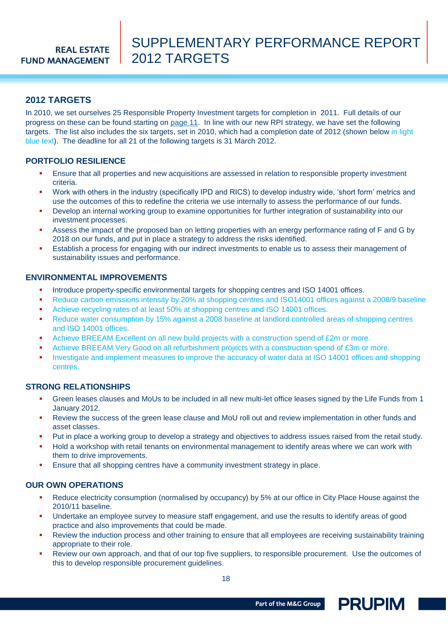### <span id="page-17-0"></span>**2012 TARGETS**

In 2010, we set ourselves 25 Responsible Property Investment targets for completion in 2011. Full details of our progress on these can be found starting on [page 11.](#page-10-0) In line with our new RPI strategy, we have set the following targets. The list also includes the six targets, set in 2010, which had a completion date of 2012 (shown below in light blue text). The deadline for all 21 of the following targets is 31 March 2012.

#### **PORTFOLIO RESILIENCE**

- Ensure that all properties and new acquisitions are assessed in relation to responsible property investment criteria.
- Work with others in the industry (specifically IPD and RICS) to develop industry wide, "short form" metrics and use the outcomes of this to redefine the criteria we use internally to assess the performance of our funds.
- Develop an internal working group to examine opportunities for further integration of sustainability into our investment processes.
- Assess the impact of the proposed ban on letting properties with an energy performance rating of F and G by 2018 on our funds, and put in place a strategy to address the risks identified.
- Establish a process for engaging with our indirect investments to enable us to assess their management of sustainability issues and performance.

#### **ENVIRONMENTAL IMPROVEMENTS**

- Introduce property-specific environmental targets for shopping centres and ISO 14001 offices.
- Reduce carbon emissions intensity by 20% at shopping centres and ISO14001 offices against a 2008/9 baseline
- Achieve recycling rates of at least 50% at shopping centres and ISO 14001 offices.
- Reduce water consumption by 15% against a 2008 baseline at landlord controlled areas of shopping centres and ISO 14001 offices.
- Achieve BREEAM Excellent on all new build projects with a construction spend of £2m or more.
- Achieve BREEAM Very Good on all refurbishment projects with a construction spend of £3m or more.
- Investigate and implement measures to improve the accuracy of water data at ISO 14001 offices and shopping centres.

#### **STRONG RELATIONSHIPS**

- Green leases clauses and MoUs to be included in all new multi-let office leases signed by the Life Funds from 1 January 2012.
- Review the success of the green lease clause and MoU roll out and review implementation in other funds and asset classes.
- Put in place a working group to develop a strategy and objectives to address issues raised from the retail study.
- Hold a workshop with retail tenants on environmental management to identify areas where we can work with them to drive improvements.
- Ensure that all shopping centres have a community investment strategy in place.

#### **OUR OWN OPERATIONS**

- Reduce electricity consumption (normalised by occupancy) by 5% at our office in City Place House against the 2010/11 baseline.
- Undertake an employee survey to measure staff engagement, and use the results to identify areas of good practice and also improvements that could be made.
- Review the induction process and other training to ensure that all employees are receiving sustainability training appropriate to their role.
- Review our own approach, and that of our top five suppliers, to responsible procurement. Use the outcomes of this to develop responsible procurement guidelines.

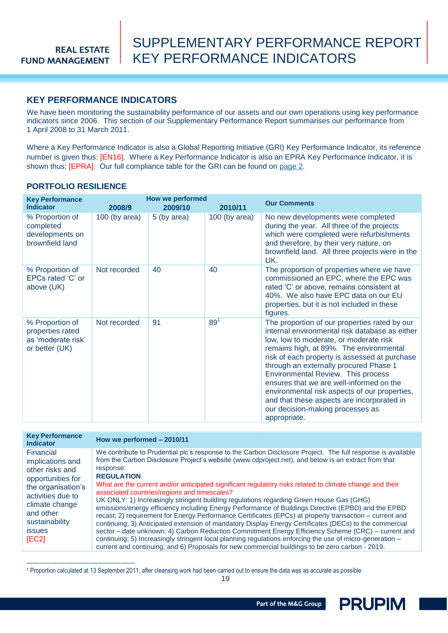### <span id="page-18-0"></span>**KEY PERFORMANCE INDICATORS**

We have been monitoring the sustainability performance of our assets and our own operations using key performance indicators since 2006. This section of our Supplementary Performance Report summarises our performance from 1 April 2008 to 31 March 2011.

Where a Key Performance Indicator is also a Global Reporting Initiative (GRI) Key Performance Indicator, its reference number is given thus: [EN16]. Where a Key Performance Indicator is also an EPRA Key Performance Indicator, it is shown thus: [EPRA]. Our full compliance table for the GRI can be found on [page](#page-1-0) 2.

#### <span id="page-18-1"></span>**PORTFOLIO RESILIENCE**

 $\overline{a}$ 

| <b>Key Performance</b><br><b>Indicator</b>                                  | 2008/9          | <b>How we performed</b><br>2009/10 | 2010/11         | <b>Our Comments</b>                                                                                                                                                                                                                                                                                                                                                                                                                                                                                                  |
|-----------------------------------------------------------------------------|-----------------|------------------------------------|-----------------|----------------------------------------------------------------------------------------------------------------------------------------------------------------------------------------------------------------------------------------------------------------------------------------------------------------------------------------------------------------------------------------------------------------------------------------------------------------------------------------------------------------------|
| % Proportion of<br>completed<br>developments on<br>brownfield land          | $100$ (by area) | 5 (by area)                        | 100 (by area)   | No new developments were completed<br>during the year. All three of the projects<br>which were completed were refurbishments<br>and therefore, by their very nature, on<br>brownfield land. All three projects were in the<br>UK.                                                                                                                                                                                                                                                                                    |
| % Proportion of<br>EPCs rated 'C' or<br>above (UK)                          | Not recorded    | 40                                 | 40              | The proportion of properties where we have<br>commissioned an EPC, where the EPC was<br>rated 'C' or above, remains consistent at<br>40%. We also have EPC data on our EU<br>properties, but it is not included in these<br>figures.                                                                                                                                                                                                                                                                                 |
| % Proportion of<br>properties rated<br>as 'moderate risk'<br>or better (UK) | Not recorded    | 91                                 | 89 <sup>1</sup> | The proportion of our properties rated by our<br>internal environmental risk database as either<br>low, low to moderate, or moderate risk<br>remains high, at 89%. The environmental<br>risk of each property is assessed at purchase<br>through an externally procured Phase 1<br>Environmental Review. This process<br>ensures that we are well-informed on the<br>environmental risk aspects of our properties,<br>and that these aspects are incorporated in<br>our decision-making processes as<br>appropriate. |

| <b>Key Performance</b><br><b>Indicator</b>                                                                                                                                                                                    | How we performed - 2010/11                                                                                                                                                                                                                                                                                                                                                                                                                                                                                                                                                                                                                                                                                                                                                                                                                                                                                                                                                                                                                                                                                                 |
|-------------------------------------------------------------------------------------------------------------------------------------------------------------------------------------------------------------------------------|----------------------------------------------------------------------------------------------------------------------------------------------------------------------------------------------------------------------------------------------------------------------------------------------------------------------------------------------------------------------------------------------------------------------------------------------------------------------------------------------------------------------------------------------------------------------------------------------------------------------------------------------------------------------------------------------------------------------------------------------------------------------------------------------------------------------------------------------------------------------------------------------------------------------------------------------------------------------------------------------------------------------------------------------------------------------------------------------------------------------------|
| Financial<br>implications and<br>response:<br>other risks and<br><b>REGULATION</b><br>opportunities for<br>the organisation's<br>activities due to<br>climate change<br>and other<br>sustainability<br><b>issues</b><br>[EC2] | We contribute to Prudential plc's response to the Carbon Disclosure Project. The full response is available<br>from the Carbon Disclosure Project's website (www.cdproject.net), and below is an extract from that<br>What are the current and/or anticipated significant regulatory risks related to climate change and their<br>associated countries/regions and timescales?<br>UK ONLY: 1) Increasingly stringent building regulations regarding Green House Gas (GHG)<br>emissions/energy efficiency including Energy Performance of Buildings Directive (EPBD) and the EPBD<br>recast; 2) requirement for Energy Performance Certificates (EPCs) at property transaction - current and<br>continuing; 3) Anticipated extension of mandatory Display Energy Certificates (DECs) to the commercial<br>sector - date unknown; 4) Carbon Reduction Commitment Energy Efficiency Scheme (CRC) - current and<br>continuing; 5) Increasingly stringent local planning regulations enforcing the use of micro-generation -<br>current and continuing; and 6) Proposals for new commercial buildings to be zero carbon - 2019. |

<sup>1</sup> Proportion calculated at 13 September 2011, after cleansing work had been carried out to ensure the data was as accurate as possible

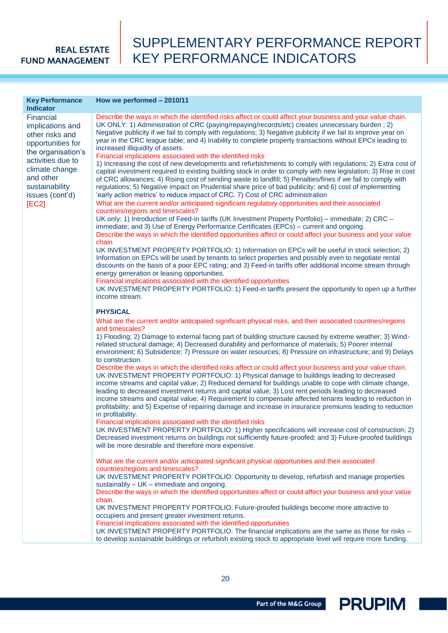## SUPPLEMENTARY PERFORMANCE REPORT KEY PERFORMANCE INDICATORS

| <b>Key Performance</b><br><b>Indicator</b>                                                                       | How we performed - 2010/11                                                                                                                                                                                                                                                                                                                                                                                                                                                                                                                                                                                                                                 |
|------------------------------------------------------------------------------------------------------------------|------------------------------------------------------------------------------------------------------------------------------------------------------------------------------------------------------------------------------------------------------------------------------------------------------------------------------------------------------------------------------------------------------------------------------------------------------------------------------------------------------------------------------------------------------------------------------------------------------------------------------------------------------------|
| Financial<br>implications and<br>other risks and<br>opportunities for<br>the organisation's<br>activities due to | Describe the ways in which the identified risks affect or could affect your business and your value chain.<br>UK ONLY: 1) Administration of CRC (paying/repaying/records/etc) creates unnecessary burden; 2)<br>Negative publicity if we fail to comply with regulations; 3) Negative publicity if we fail to improve year on<br>year in the CRC league table; and 4) Inability to complete property transactions without EPCs leading to<br>increased illiquidity of assets.<br>Financial implications associated with the identified risks<br>1) Increasing the cost of new developments and refurbishments to comply with regulations; 2) Extra cost of |
| climate change<br>and other<br>sustainability<br>issues (cont'd)                                                 | capital investment required to existing building stock in order to comply with new legislation; 3) Rise in cost<br>of CRC allowances; 4) Rising cost of sending waste to landfill; 5) Penalties/fines if we fail to comply with<br>regulations; 5) Negative impact on Prudential share price of bad publicity; and 6) cost of implementing<br>'early action metrics' to reduce impact of CRC. 7) Cost of CRC administration                                                                                                                                                                                                                                |
| [EC2]                                                                                                            | What are the current and/or anticipated significant regulatory opportunities and their associated                                                                                                                                                                                                                                                                                                                                                                                                                                                                                                                                                          |
|                                                                                                                  | countries/regions and timescales?                                                                                                                                                                                                                                                                                                                                                                                                                                                                                                                                                                                                                          |
|                                                                                                                  | UK only: 1) Introduction of Feed-in tariffs (UK Investment Property Portfolio) - immediate; 2) CRC -<br>immediate; and 3) Use of Energy Performance Certificates (EPCs) – current and ongoing.<br>Describe the ways in which the identified opportunities affect or could affect your business and your value<br>chain.                                                                                                                                                                                                                                                                                                                                    |
|                                                                                                                  | UK INVESTMENT PROPERTY PORTFOLIO: 1) Information on EPCs will be useful in stock selection; 2)<br>Information on EPCs will be used by tenants to select properties and possibly even to negotiate rental<br>discounts on the basis of a poor EPC rating; and 3) Feed-in tariffs offer additional income stream through<br>energy generation or leasing opportunities.                                                                                                                                                                                                                                                                                      |
|                                                                                                                  | Financial implications associated with the identified opportunities                                                                                                                                                                                                                                                                                                                                                                                                                                                                                                                                                                                        |
|                                                                                                                  | UK INVESTMENT PROPERTY PORTFOLIO: 1) Feed-in tariffs present the opportunity to open up a further<br>income stream.                                                                                                                                                                                                                                                                                                                                                                                                                                                                                                                                        |
|                                                                                                                  | <b>PHYSICAL</b>                                                                                                                                                                                                                                                                                                                                                                                                                                                                                                                                                                                                                                            |
|                                                                                                                  | What are the current and/or anticipated significant physical risks, and their associated countries/regions                                                                                                                                                                                                                                                                                                                                                                                                                                                                                                                                                 |
|                                                                                                                  | and timescales?                                                                                                                                                                                                                                                                                                                                                                                                                                                                                                                                                                                                                                            |
|                                                                                                                  | 1) Flooding; 2) Damage to external facing part of building structure caused by extreme weather; 3) Wind-<br>related structural damage; 4) Decreased durability and performance of materials; 5) Poorer internal<br>environment; 6) Subsidence; 7) Pressure on water resources; 8) Pressure on infrastructure; and 9) Delays                                                                                                                                                                                                                                                                                                                                |
|                                                                                                                  | to construction.                                                                                                                                                                                                                                                                                                                                                                                                                                                                                                                                                                                                                                           |
|                                                                                                                  | Describe the ways in which the identified risks affect or could affect your business and your value chain.<br>UK INVESTMENT PROPERTY PORTFOLIO: 1) Physical damage to buildings leading to decreased<br>income streams and capital value; 2) Reduced demand for buildings unable to cope with climate change,<br>leading to decreased investment returns and capital value; 3) Lost rent periods leading to decreased                                                                                                                                                                                                                                      |
|                                                                                                                  | income streams and capital value; 4) Requirement to compensate affected tenants leading to reduction in<br>profitability; and 5) Expense of repairing damage and increase in insurance premiums leading to reduction<br>in profitability.                                                                                                                                                                                                                                                                                                                                                                                                                  |
|                                                                                                                  | Financial implications associated with the identified risks                                                                                                                                                                                                                                                                                                                                                                                                                                                                                                                                                                                                |
|                                                                                                                  | UK INVESTMENT PROPERTY PORTFOLIO: 1) Higher specifications will increase cost of construction; 2)                                                                                                                                                                                                                                                                                                                                                                                                                                                                                                                                                          |
|                                                                                                                  | Decreased investment returns on buildings not sufficiently future-proofed; and 3) Future-proofed buildings<br>will be more desirable and therefore more expensive.                                                                                                                                                                                                                                                                                                                                                                                                                                                                                         |
|                                                                                                                  | What are the current and/or anticipated significant physical opportunities and their associated                                                                                                                                                                                                                                                                                                                                                                                                                                                                                                                                                            |
|                                                                                                                  | countries/regions and timescales?<br>UK INVESTMENT PROPERTY PORTFOLIO: Opportunity to develop, refurbish and manage properties                                                                                                                                                                                                                                                                                                                                                                                                                                                                                                                             |
|                                                                                                                  | sustainably - UK - immediate and ongoing.                                                                                                                                                                                                                                                                                                                                                                                                                                                                                                                                                                                                                  |
|                                                                                                                  | Describe the ways in which the identified opportunities affect or could affect your business and your value<br>chain.                                                                                                                                                                                                                                                                                                                                                                                                                                                                                                                                      |
|                                                                                                                  | UK INVESTMENT PROPERTY PORTFOLIO: Future-proofed buildings become more attractive to<br>occupiers and present greater investment returns.                                                                                                                                                                                                                                                                                                                                                                                                                                                                                                                  |
|                                                                                                                  | Financial implications associated with the identified opportunities                                                                                                                                                                                                                                                                                                                                                                                                                                                                                                                                                                                        |
|                                                                                                                  | UK INVESTMENT PROPERTY PORTFOLIO: The financial implications are the same as those for risks -<br>to develop sustainable buildings or refurbish existing stock to appropriate level will require more funding.                                                                                                                                                                                                                                                                                                                                                                                                                                             |

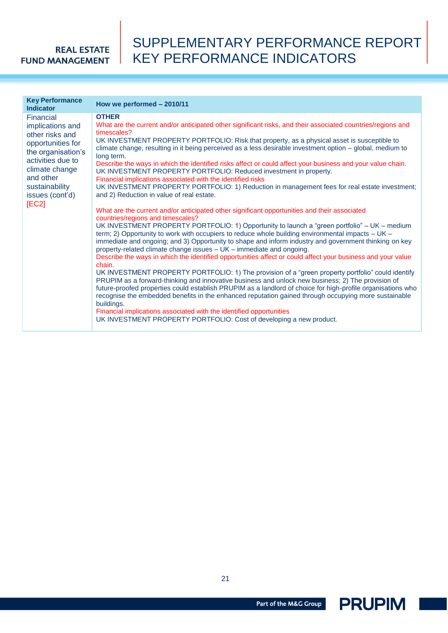## SUPPLEMENTARY PERFORMANCE REPORT KEY PERFORMANCE INDICATORS

|                                                                                                                                                                                                                                                                                                                                                                                                                                                                                                                                                                                                                                                                                                                                                                                                                                                                                                                     | <b>Key Performance</b><br><b>Indicator</b> | How we performed - 2010/11                                                                                                                                                                                                                                                                                                                                                                                                                                                                                                                                                                                                                                                                                                                                                                                                                                                                                                                                                                                                                                                                                                                                                                                                                                                                      |
|---------------------------------------------------------------------------------------------------------------------------------------------------------------------------------------------------------------------------------------------------------------------------------------------------------------------------------------------------------------------------------------------------------------------------------------------------------------------------------------------------------------------------------------------------------------------------------------------------------------------------------------------------------------------------------------------------------------------------------------------------------------------------------------------------------------------------------------------------------------------------------------------------------------------|--------------------------------------------|-------------------------------------------------------------------------------------------------------------------------------------------------------------------------------------------------------------------------------------------------------------------------------------------------------------------------------------------------------------------------------------------------------------------------------------------------------------------------------------------------------------------------------------------------------------------------------------------------------------------------------------------------------------------------------------------------------------------------------------------------------------------------------------------------------------------------------------------------------------------------------------------------------------------------------------------------------------------------------------------------------------------------------------------------------------------------------------------------------------------------------------------------------------------------------------------------------------------------------------------------------------------------------------------------|
| <b>OTHER</b><br>Financial<br>implications and<br>timescales?<br>other risks and<br>opportunities for<br>the organisation's<br>long term.<br>activities due to<br>climate change<br>UK INVESTMENT PROPERTY PORTFOLIO: Reduced investment in property.<br>and other<br>Financial implications associated with the identified risks<br>sustainability<br>issues (cont'd)<br>and 2) Reduction in value of real estate.<br>[EC2]<br>What are the current and/or anticipated other significant opportunities and their associated<br>countries/regions and timescales?<br>term; 2) Opportunity to work with occupiers to reduce whole building environmental impacts – UK –<br>property-related climate change issues - UK - immediate and ongoing.<br>chain.<br>buildings.<br>Financial implications associated with the identified opportunities<br>UK INVESTMENT PROPERTY PORTFOLIO: Cost of developing a new product. |                                            | What are the current and/or anticipated other significant risks, and their associated countries/regions and<br>UK INVESTMENT PROPERTY PORTFOLIO: Risk that property, as a physical asset is susceptible to<br>climate change, resulting in it being perceived as a less desirable investment option - global, medium to<br>Describe the ways in which the identified risks affect or could affect your business and your value chain.<br>UK INVESTMENT PROPERTY PORTFOLIO: 1) Reduction in management fees for real estate investment;<br>UK INVESTMENT PROPERTY PORTFOLIO: 1) Opportunity to launch a "green portfolio" - UK - medium<br>immediate and ongoing; and 3) Opportunity to shape and inform industry and government thinking on key<br>Describe the ways in which the identified opportunities affect or could affect your business and your value<br>UK INVESTMENT PROPERTY PORTFOLIO: 1) The provision of a "green property portfolio" could identify<br>PRUPIM as a forward-thinking and innovative business and unlock new business; 2) The provision of<br>future-proofed properties could establish PRUPIM as a landlord of choice for high-profile organisations who<br>recognise the embedded benefits in the enhanced reputation gained through occupying more sustainable |

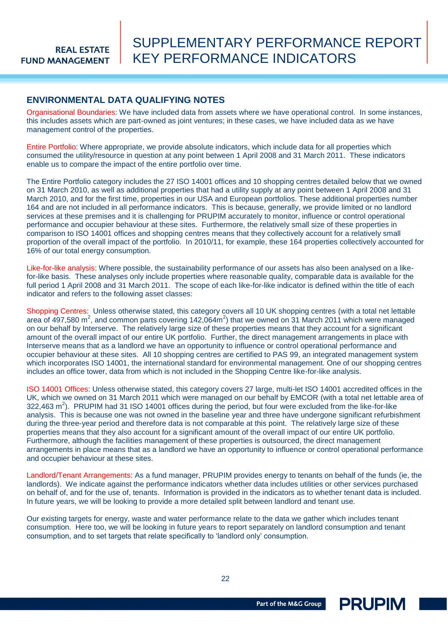#### <span id="page-21-0"></span>**ENVIRONMENTAL DATA QUALIFYING NOTES**

Organisational Boundaries: We have included data from assets where we have operational control. In some instances, this includes assets which are part-owned as joint ventures; in these cases, we have included data as we have management control of the properties.

Entire Portfolio: Where appropriate, we provide absolute indicators, which include data for all properties which consumed the utility/resource in question at any point between 1 April 2008 and 31 March 2011. These indicators enable us to compare the impact of the entire portfolio over time.

The Entire Portfolio category includes the 27 ISO 14001 offices and 10 shopping centres detailed below that we owned on 31 March 2010, as well as additional properties that had a utility supply at any point between 1 April 2008 and 31 March 2010, and for the first time, properties in our USA and European portfolios. These additional properties number 164 and are not included in all performance indicators. This is because, generally, we provide limited or no landlord services at these premises and it is challenging for PRUPIM accurately to monitor, influence or control operational performance and occupier behaviour at these sites. Furthermore, the relatively small size of these properties in comparison to ISO 14001 offices and shopping centres means that they collectively account for a relatively small proportion of the overall impact of the portfolio. In 2010/11, for example, these 164 properties collectively accounted for 16% of our total energy consumption.

Like-for-like analysis: Where possible, the sustainability performance of our assets has also been analysed on a likefor-like basis. These analyses only include properties where reasonable quality, comparable data is available for the full period 1 April 2008 and 31 March 2011. The scope of each like-for-like indicator is defined within the title of each indicator and refers to the following asset classes:

Shopping Centres: Unless otherwise stated, this category covers all 10 UK shopping centres (with a total net lettable area of 497,580 m<sup>2</sup>, and common parts covering 142,064m<sup>2</sup>) that we owned on 31 March 2011 which were managed on our behalf by Interserve. The relatively large size of these properties means that they account for a significant amount of the overall impact of our entire UK portfolio. Further, the direct management arrangements in place with Interserve means that as a landlord we have an opportunity to influence or control operational performance and occupier behaviour at these sites. All 10 shopping centres are certified to PAS 99, an integrated management system which incorporates ISO 14001, the international standard for environmental management. One of our shopping centres includes an office tower, data from which is not included in the Shopping Centre like-for-like analysis.

ISO 14001 Offices: Unless otherwise stated, this category covers 27 large, multi-let ISO 14001 accredited offices in the UK, which we owned on 31 March 2011 which were managed on our behalf by EMCOR (with a total net lettable area of 322,463 m<sup>2</sup>). PRUPIM had 31 ISO 14001 offices during the period, but four were excluded from the like-for-like analysis. This is because one was not owned in the baseline year and three have undergone significant refurbishment during the three-year period and therefore data is not comparable at this point. The relatively large size of these properties means that they also account for a significant amount of the overall impact of our entire UK portfolio. Furthermore, although the facilities management of these properties is outsourced, the direct management arrangements in place means that as a landlord we have an opportunity to influence or control operational performance and occupier behaviour at these sites.

Landlord/Tenant Arrangements: As a fund manager, PRUPIM provides energy to tenants on behalf of the funds (ie, the landlords). We indicate against the performance indicators whether data includes utilities or other services purchased on behalf of, and for the use of, tenants. Information is provided in the indicators as to whether tenant data is included. In future years, we will be looking to provide a more detailed split between landlord and tenant use.

Our existing targets for energy, waste and water performance relate to the data we gather which includes tenant consumption. Here too, we will be looking in future years to report separately on landlord consumption and tenant consumption, and to set targets that relate specifically to "landlord only" consumption.

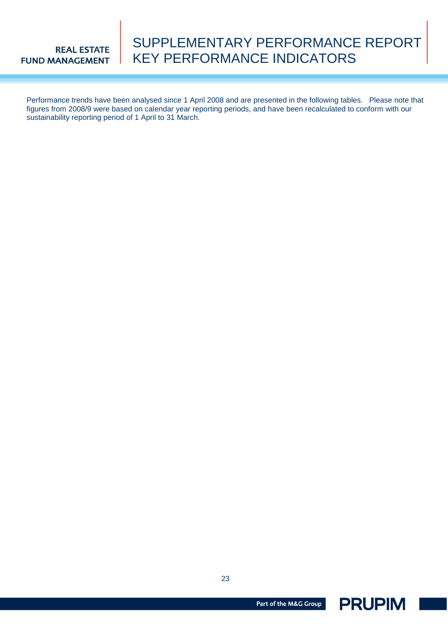## SUPPLEMENTARY PERFORMANCE REPORT KEY PERFORMANCE INDICATORS

Performance trends have been analysed since 1 April 2008 and are presented in the following tables. Please note that figures from 2008/9 were based on calendar year reporting periods, and have been recalculated to conform with our sustainability reporting period of 1 April to 31 March.

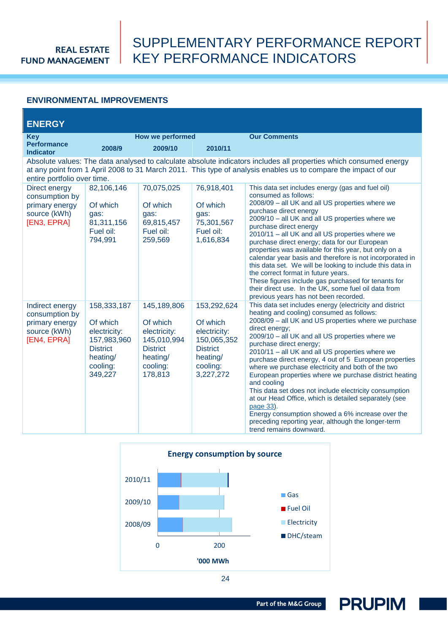## SUPPLEMENTARY PERFORMANCE REPORT KEY PERFORMANCE INDICATORS

#### <span id="page-23-0"></span>**ENVIRONMENTAL IMPROVEMENTS**

| <b>ENERGY</b>                                                                      |                                                                                                              |                                                                                                              |                                                                                                                |                                                                                                                                                                                                                                                                                                                                                                                                                                                                                                                                                                                                                                                                                                                                                                              |  |
|------------------------------------------------------------------------------------|--------------------------------------------------------------------------------------------------------------|--------------------------------------------------------------------------------------------------------------|----------------------------------------------------------------------------------------------------------------|------------------------------------------------------------------------------------------------------------------------------------------------------------------------------------------------------------------------------------------------------------------------------------------------------------------------------------------------------------------------------------------------------------------------------------------------------------------------------------------------------------------------------------------------------------------------------------------------------------------------------------------------------------------------------------------------------------------------------------------------------------------------------|--|
| <b>Key</b><br><b>Performance</b>                                                   | 2008/9                                                                                                       | How we performed<br>2009/10                                                                                  | 2010/11                                                                                                        | <b>Our Comments</b>                                                                                                                                                                                                                                                                                                                                                                                                                                                                                                                                                                                                                                                                                                                                                          |  |
| <b>Indicator</b>                                                                   |                                                                                                              |                                                                                                              |                                                                                                                |                                                                                                                                                                                                                                                                                                                                                                                                                                                                                                                                                                                                                                                                                                                                                                              |  |
| entire portfolio over time.                                                        |                                                                                                              |                                                                                                              |                                                                                                                | Absolute values: The data analysed to calculate absolute indicators includes all properties which consumed energy<br>at any point from 1 April 2008 to 31 March 2011. This type of analysis enables us to compare the impact of our                                                                                                                                                                                                                                                                                                                                                                                                                                                                                                                                          |  |
| Direct energy<br>consumption by<br>primary energy<br>source (kWh)<br>[EN3, EPRA]   | 82,106,146<br>Of which<br>qas:<br>81,311,156<br>Fuel oil:<br>794,991                                         | 70,075,025<br>Of which<br>qas:<br>69,815,457<br>Fuel oil:<br>259,569                                         | 76,918,401<br>Of which<br>qas:<br>75,301,567<br>Fuel oil:<br>1,616,834                                         | This data set includes energy (gas and fuel oil)<br>consumed as follows:<br>2008/09 - all UK and all US properties where we<br>purchase direct energy<br>2009/10 - all UK and all US properties where we<br>purchase direct energy<br>2010/11 - all UK and all US properties where we<br>purchase direct energy; data for our European<br>properties was available for this year, but only on a<br>calendar year basis and therefore is not incorporated in<br>this data set. We will be looking to include this data in<br>the correct format in future years.<br>These figures include gas purchased for tenants for<br>their direct use. In the UK, some fuel oil data from<br>previous years has not been recorded.                                                      |  |
| Indirect energy<br>consumption by<br>primary energy<br>source (kWh)<br>[EN4, EPRA] | 158,333,187<br>Of which<br>electricity:<br>157,983,960<br><b>District</b><br>heating/<br>cooling:<br>349,227 | 145,189,806<br>Of which<br>electricity:<br>145,010,994<br><b>District</b><br>heating/<br>cooling:<br>178,813 | 153,292,624<br>Of which<br>electricity:<br>150,065,352<br><b>District</b><br>heating/<br>cooling:<br>3,227,272 | This data set includes energy (electricity and district<br>heating and cooling) consumed as follows:<br>2008/09 - all UK and US properties where we purchase<br>direct energy;<br>2009/10 - all UK and all US properties where we<br>purchase direct energy;<br>2010/11 - all UK and all US properties where we<br>purchase direct energy, 4 out of 5 European properties<br>where we purchase electricity and both of the two<br>European properties where we purchase district heating<br>and cooling<br>This data set does not include electricity consumption<br>at our Head Office, which is detailed separately (see<br>page 33).<br>Energy consumption showed a 6% increase over the<br>preceding reporting year, although the longer-term<br>trend remains downward. |  |

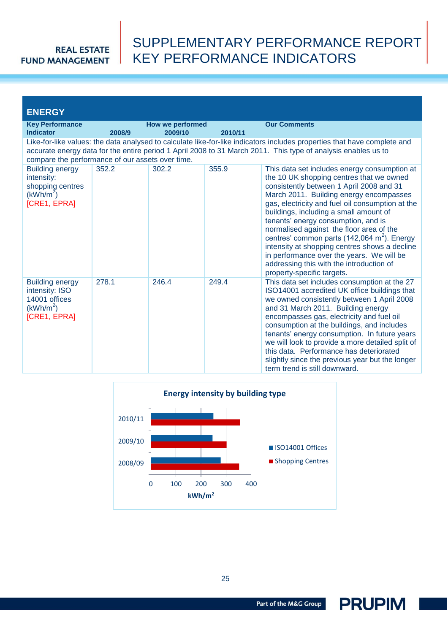## SUPPLEMENTARY PERFORMANCE REPORT KEY PERFORMANCE INDICATORS

| <b>ENERGY</b>                                                                                      |        |                                    |         |                                                                                                                                                                                                                                                                                                                                                                                                                                                                                                                                                                                                     |
|----------------------------------------------------------------------------------------------------|--------|------------------------------------|---------|-----------------------------------------------------------------------------------------------------------------------------------------------------------------------------------------------------------------------------------------------------------------------------------------------------------------------------------------------------------------------------------------------------------------------------------------------------------------------------------------------------------------------------------------------------------------------------------------------------|
| <b>Key Performance</b><br><b>Indicator</b>                                                         | 2008/9 | <b>How we performed</b><br>2009/10 | 2010/11 | <b>Our Comments</b>                                                                                                                                                                                                                                                                                                                                                                                                                                                                                                                                                                                 |
| compare the performance of our assets over time.                                                   |        |                                    |         | Like-for-like values: the data analysed to calculate like-for-like indicators includes properties that have complete and<br>accurate energy data for the entire period 1 April 2008 to 31 March 2011. This type of analysis enables us to                                                                                                                                                                                                                                                                                                                                                           |
| <b>Building energy</b><br>intensity:<br>shopping centres<br>(kWh/m <sup>2</sup> )<br>[CRE1, EPRA]  | 352.2  | 302.2                              | 355.9   | This data set includes energy consumption at<br>the 10 UK shopping centres that we owned<br>consistently between 1 April 2008 and 31<br>March 2011. Building energy encompasses<br>gas, electricity and fuel oil consumption at the<br>buildings, including a small amount of<br>tenants' energy consumption, and is<br>normalised against the floor area of the<br>centres' common parts (142,064 m <sup>2</sup> ). Energy<br>intensity at shopping centres shows a decline<br>in performance over the years. We will be<br>addressing this with the introduction of<br>property-specific targets. |
| <b>Building energy</b><br>intensity: ISO<br>14001 offices<br>(kWh/m <sup>2</sup> )<br>[CRE1, EPRA] | 278.1  | 246.4                              | 249.4   | This data set includes consumption at the 27<br>ISO14001 accredited UK office buildings that<br>we owned consistently between 1 April 2008<br>and 31 March 2011. Building energy<br>encompasses gas, electricity and fuel oil<br>consumption at the buildings, and includes<br>tenants' energy consumption. In future years<br>we will look to provide a more detailed split of<br>this data. Performance has deteriorated<br>slightly since the previous year but the longer<br>term trend is still downward.                                                                                      |



25

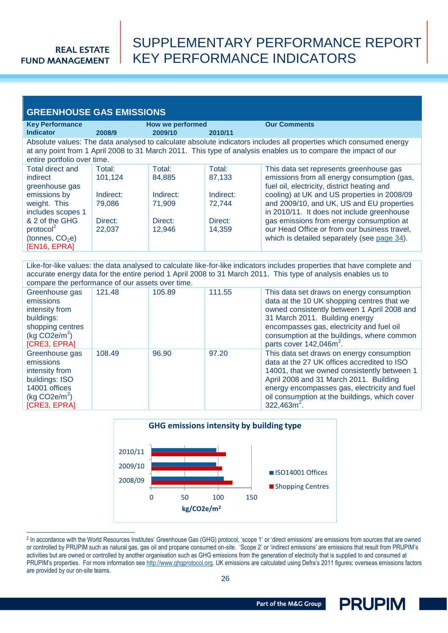$\overline{a}$ 

## SUPPLEMENTARY PERFORMANCE REPORT KEY PERFORMANCE INDICATORS

| <b>GREENHOUSE GAS EMISSIONS</b>                                                                                                                                                                                                                                    |                                                               |                                                              |                                                              |                                                                                                                                                                                                                                                                                                                                                                                                                            |  |
|--------------------------------------------------------------------------------------------------------------------------------------------------------------------------------------------------------------------------------------------------------------------|---------------------------------------------------------------|--------------------------------------------------------------|--------------------------------------------------------------|----------------------------------------------------------------------------------------------------------------------------------------------------------------------------------------------------------------------------------------------------------------------------------------------------------------------------------------------------------------------------------------------------------------------------|--|
| <b>Key Performance</b><br><b>Indicator</b>                                                                                                                                                                                                                         | 2008/9                                                        | How we performed<br>2009/10                                  | 2010/11                                                      | <b>Our Comments</b>                                                                                                                                                                                                                                                                                                                                                                                                        |  |
| Absolute values: The data analysed to calculate absolute indicators includes all properties which consumed energy<br>at any point from 1 April 2008 to 31 March 2011. This type of analysis enables us to compare the impact of our<br>entire portfolio over time. |                                                               |                                                              |                                                              |                                                                                                                                                                                                                                                                                                                                                                                                                            |  |
| <b>Total direct and</b><br>indirect<br>greenhouse gas<br>emissions by<br>weight. This<br>includes scopes 1<br>& 2 of the GHG<br>protocol <sup>2</sup><br>(tonnes, $CO2e$ )<br>[EN16, EPRA]                                                                         | Total:<br>101,124<br>Indirect:<br>79,086<br>Direct:<br>22,037 | Total:<br>84,885<br>Indirect:<br>71,909<br>Direct:<br>12,946 | Total:<br>87,133<br>Indirect:<br>72,744<br>Direct:<br>14.359 | This data set represents greenhouse gas<br>emissions from all energy consumption (gas,<br>fuel oil, electricity, district heating and<br>cooling) at UK and US properties in 2008/09<br>and 2009/10, and UK, US and EU properties<br>in 2010/11. It does not include greenhouse<br>gas emissions from energy consumption at<br>our Head Office or from our business travel,<br>which is detailed separately (see page 34). |  |

Like-for-like values: the data analysed to calculate like-for-like indicators includes properties that have complete and accurate energy data for the entire period 1 April 2008 to 31 March 2011. This type of analysis enables us to compare the performance of our assets over time.

| <u>oomparo ino ponomianoo or oar aoooio ovor impor</u>                                                                        |        |        |        |                                                                                                                                                                                                                                                                                                            |
|-------------------------------------------------------------------------------------------------------------------------------|--------|--------|--------|------------------------------------------------------------------------------------------------------------------------------------------------------------------------------------------------------------------------------------------------------------------------------------------------------------|
| Greenhouse gas<br>emissions<br>intensity from<br>buildings:<br>shopping centres<br>(kq CO2e/m <sup>2</sup> )<br>[CRE3, EPRA]  | 121.48 | 105.89 | 111.55 | This data set draws on energy consumption<br>data at the 10 UK shopping centres that we<br>owned consistently between 1 April 2008 and<br>31 March 2011. Building energy<br>encompasses gas, electricity and fuel oil<br>consumption at the buildings, where common<br>parts cover 142,046m <sup>2</sup> . |
| Greenhouse gas<br>emissions<br>intensity from<br>buildings: ISO<br>14001 offices<br>(kq CO2e/m <sup>2</sup> )<br>[CRE3, EPRA] | 108.49 | 96.90  | 97.20  | This data set draws on energy consumption<br>data at the 27 UK offices accredited to ISO<br>14001, that we owned consistently between 1<br>April 2008 and 31 March 2011. Building<br>energy encompasses gas, electricity and fuel<br>oil consumption at the buildings, which cover<br>$322.463m2$ .        |



<sup>&</sup>lt;sup>2</sup> In accordance with the World Resources Institutes' Greenhouse Gas (GHG) protocol, 'scope 1' or 'direct emissions' are emissions from sources that are owned or controlled by PRUPIM such as natural gas, gas oil and propane consumed on-site. 'Scope 2' or 'indirect emissions' are emissions that result from PRUPIM's activities but are owned or controlled by another organisation such as GHG emissions from the generation of electricity that is supplied to and consumed at PRUPIM's properties. For more information see [http://www.ghgprotocol.org.](http://www.ghgprotocol.org/) UK emissions are calculated using Defra's 2011 figures; overseas emissions factors are provided by our on-site teams.

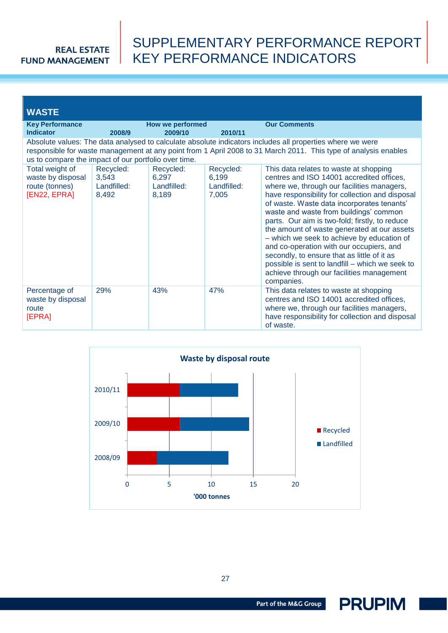## SUPPLEMENTARY PERFORMANCE REPORT KEY PERFORMANCE INDICATORS

| <b>WASTE</b>                                                           |                                            |                                            |                                            |                                                                                                                                                                                                                                                                                                                                                                                                                                                                                                                                                                                                                                      |
|------------------------------------------------------------------------|--------------------------------------------|--------------------------------------------|--------------------------------------------|--------------------------------------------------------------------------------------------------------------------------------------------------------------------------------------------------------------------------------------------------------------------------------------------------------------------------------------------------------------------------------------------------------------------------------------------------------------------------------------------------------------------------------------------------------------------------------------------------------------------------------------|
| <b>Key Performance</b><br><b>Indicator</b>                             | 2008/9                                     | How we performed<br>2009/10                | 2010/11                                    | <b>Our Comments</b>                                                                                                                                                                                                                                                                                                                                                                                                                                                                                                                                                                                                                  |
| us to compare the impact of our portfolio over time.                   |                                            |                                            |                                            | Absolute values: The data analysed to calculate absolute indicators includes all properties where we were<br>responsible for waste management at any point from 1 April 2008 to 31 March 2011. This type of analysis enables                                                                                                                                                                                                                                                                                                                                                                                                         |
| Total weight of<br>waste by disposal<br>route (tonnes)<br>[EN22, EPRA] | Recycled:<br>3,543<br>Landfilled:<br>8,492 | Recycled:<br>6,297<br>Landfilled:<br>8,189 | Recycled:<br>6,199<br>Landfilled:<br>7,005 | This data relates to waste at shopping<br>centres and ISO 14001 accredited offices,<br>where we, through our facilities managers,<br>have responsibility for collection and disposal<br>of waste. Waste data incorporates tenants'<br>waste and waste from buildings' common<br>parts. Our aim is two-fold; firstly, to reduce<br>the amount of waste generated at our assets<br>- which we seek to achieve by education of<br>and co-operation with our occupiers, and<br>secondly, to ensure that as little of it as<br>possible is sent to landfill - which we seek to<br>achieve through our facilities management<br>companies. |
| Percentage of<br>waste by disposal<br>route<br>[EPRA]                  | 29%                                        | 43%                                        | 47%                                        | This data relates to waste at shopping<br>centres and ISO 14001 accredited offices,<br>where we, through our facilities managers,<br>have responsibility for collection and disposal<br>of waste.                                                                                                                                                                                                                                                                                                                                                                                                                                    |



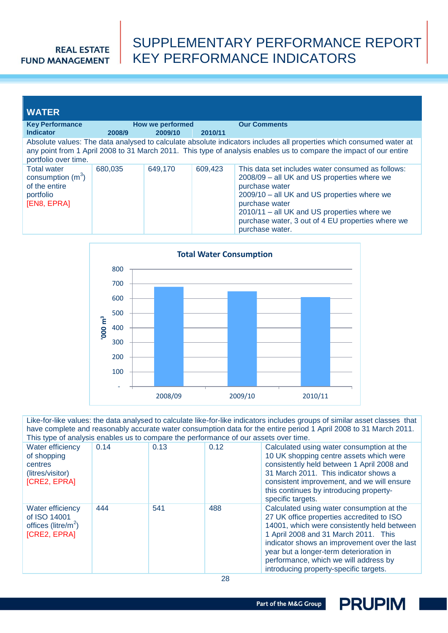# SUPPLEMENTARY PERFORMANCE REPORT KEY PERFORMANCE INDICATORS

| <b>WATER</b>                                                                           |         |                  |         |                                                                                                                                                                                                                                                                                                            |
|----------------------------------------------------------------------------------------|---------|------------------|---------|------------------------------------------------------------------------------------------------------------------------------------------------------------------------------------------------------------------------------------------------------------------------------------------------------------|
| <b>Key Performance</b><br><b>Indicator</b>                                             |         | How we performed |         | <b>Our Comments</b>                                                                                                                                                                                                                                                                                        |
|                                                                                        | 2008/9  | 2009/10          | 2010/11 |                                                                                                                                                                                                                                                                                                            |
| portfolio over time.                                                                   |         |                  |         | Absolute values: The data analysed to calculate absolute indicators includes all properties which consumed water at<br>any point from 1 April 2008 to 31 March 2011. This type of analysis enables us to compare the impact of our entire                                                                  |
| <b>Total water</b><br>consumption $(m^3)$<br>of the entire<br>portfolio<br>[EN8, EPRA] | 680.035 | 649.170          | 609,423 | This data set includes water consumed as follows:<br>2008/09 - all UK and US properties where we<br>purchase water<br>2009/10 – all UK and US properties where we<br>purchase water<br>2010/11 - all UK and US properties where we<br>purchase water, 3 out of 4 EU properties where we<br>purchase water. |



Like-for-like values: the data analysed to calculate like-for-like indicators includes groups of similar asset classes that have complete and reasonably accurate water consumption data for the entire period 1 April 2008 to 31 March 2011. This type of analysis enables us to compare the performance of our assets over time.

| Water efficiency<br>of shopping<br>centres<br>(litres/visitor)<br><b>[CRE2, EPRA]</b> | 0.14 | 0.13 | 0.12 | Calculated using water consumption at the<br>10 UK shopping centre assets which were<br>consistently held between 1 April 2008 and<br>31 March 2011. This indicator shows a<br>consistent improvement, and we will ensure<br>this continues by introducing property-<br>specific targets.                                                                   |
|---------------------------------------------------------------------------------------|------|------|------|-------------------------------------------------------------------------------------------------------------------------------------------------------------------------------------------------------------------------------------------------------------------------------------------------------------------------------------------------------------|
| Water efficiency<br>of ISO 14001<br>offices ( $litre/m2$ )<br><b>[CRE2, EPRA]</b>     | 444  | 541  | 488  | Calculated using water consumption at the<br>27 UK office properties accredited to ISO<br>14001, which were consistently held between<br>1 April 2008 and 31 March 2011. This<br>indicator shows an improvement over the last<br>year but a longer-term deterioration in<br>performance, which we will address by<br>introducing property-specific targets. |

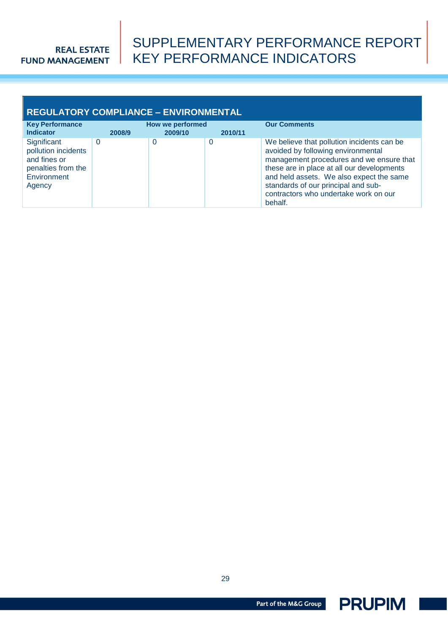## SUPPLEMENTARY PERFORMANCE REPORT KEY PERFORMANCE INDICATORS

#### **REGULATORY COMPLIANCE – ENVIRONMENTAL Key Performance Indicator How we performed <b>COU** Comments **2008/9 2009/10 2010/11 Significant** pollution incidents and fines or penalties from the **Environment** Agency 0 0 0 We believe that pollution incidents can be avoided by following environmental management procedures and we ensure that these are in place at all our developments and held assets. We also expect the same standards of our principal and subcontractors who undertake work on our behalf.

29

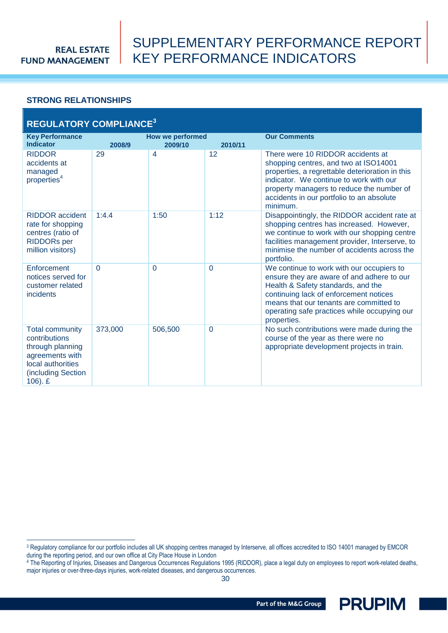$\overline{a}$ 

## SUPPLEMENTARY PERFORMANCE REPORT KEY PERFORMANCE INDICATORS

#### <span id="page-29-0"></span>**STRONG RELATIONSHIPS**

| <b>REGULATORY COMPLIANCE<sup>3</sup></b>                                                                                                |          |                                    |                |                                                                                                                                                                                                                                                                                   |  |
|-----------------------------------------------------------------------------------------------------------------------------------------|----------|------------------------------------|----------------|-----------------------------------------------------------------------------------------------------------------------------------------------------------------------------------------------------------------------------------------------------------------------------------|--|
| <b>Key Performance</b><br><b>Indicator</b>                                                                                              | 2008/9   | <b>How we performed</b><br>2009/10 | 2010/11        | <b>Our Comments</b>                                                                                                                                                                                                                                                               |  |
| <b>RIDDOR</b><br>accidents at<br>managed<br>properties <sup>4</sup>                                                                     | 29       | 4                                  | 12             | There were 10 RIDDOR accidents at<br>shopping centres, and two at ISO14001<br>properties, a regrettable deterioration in this<br>indicator. We continue to work with our<br>property managers to reduce the number of<br>accidents in our portfolio to an absolute<br>minimum.    |  |
| <b>RIDDOR</b> accident<br>rate for shopping<br>centres (ratio of<br><b>RIDDORs</b> per<br>million visitors)                             | 1:4.4    | 1:50                               | 1:12           | Disappointingly, the RIDDOR accident rate at<br>shopping centres has increased. However,<br>we continue to work with our shopping centre<br>facilities management provider, Interserve, to<br>minimise the number of accidents across the<br>portfolio.                           |  |
| Enforcement<br>notices served for<br>customer related<br>incidents                                                                      | $\Omega$ | $\Omega$                           | $\overline{0}$ | We continue to work with our occupiers to<br>ensure they are aware of and adhere to our<br>Health & Safety standards, and the<br>continuing lack of enforcement notices<br>means that our tenants are committed to<br>operating safe practices while occupying our<br>properties. |  |
| <b>Total community</b><br>contributions<br>through planning<br>agreements with<br>local authorities<br>(including Section<br>$106$ ). £ | 373,000  | 506,500                            | $\overline{0}$ | No such contributions were made during the<br>course of the year as there were no<br>appropriate development projects in train.                                                                                                                                                   |  |



<sup>&</sup>lt;sup>3</sup> Regulatory compliance for our portfolio includes all UK shopping centres managed by Interserve, all offices accredited to ISO 14001 managed by EMCOR during the reporting period, and our own office at City Place House in London

<sup>&</sup>lt;sup>4</sup> The Reporting of Injuries, Diseases and Dangerous Occurrences Regulations 1995 (RIDDOR), place a legal duty on employees to report work-related deaths, major injuries or over-three-days injuries, work-related diseases, and dangerous occurrences.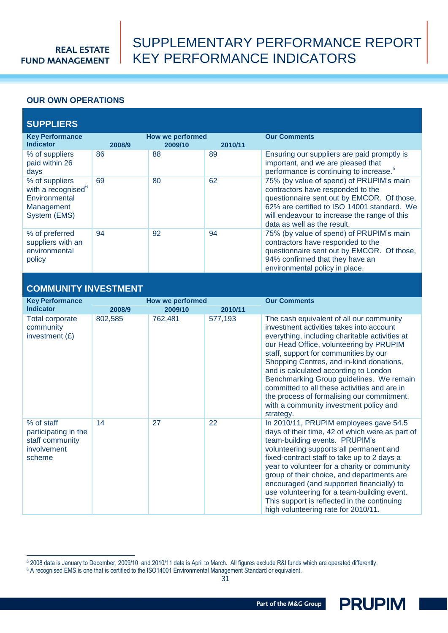## SUPPLEMENTARY PERFORMANCE REPORT KEY PERFORMANCE INDICATORS

### <span id="page-30-0"></span>**OUR OWN OPERATIONS**

### **SUPPLIERS**

| <b>Key Performance</b><br><b>Indicator</b>                                                      | 2008/9 | How we performed<br>2009/10 | 2010/11 | <b>Our Comments</b>                                                                                                                                                                                                                                       |
|-------------------------------------------------------------------------------------------------|--------|-----------------------------|---------|-----------------------------------------------------------------------------------------------------------------------------------------------------------------------------------------------------------------------------------------------------------|
| % of suppliers<br>paid within 26<br>days                                                        | 86     | 88                          | 89      | Ensuring our suppliers are paid promptly is<br>important, and we are pleased that<br>performance is continuing to increase. <sup>5</sup>                                                                                                                  |
| % of suppliers<br>with a recognised <sup>6</sup><br>Environmental<br>Management<br>System (EMS) | 69     | 80                          | 62      | 75% (by value of spend) of PRUPIM's main<br>contractors have responded to the<br>questionnaire sent out by EMCOR. Of those,<br>62% are certified to ISO 14001 standard. We<br>will endeavour to increase the range of this<br>data as well as the result. |
| % of preferred<br>suppliers with an<br>environmental<br>policy                                  | 94     | 92                          | 94      | 75% (by value of spend) of PRUPIM's main<br>contractors have responded to the<br>questionnaire sent out by EMCOR. Of those,<br>94% confirmed that they have an<br>environmental policy in place.                                                          |

### **COMMUNITY INVESTMENT**

 $\overline{a}$ 

| <b>Key Performance</b>                                                         |         | <b>How we performed</b> |         | <b>Our Comments</b>                                                                                                                                                                                                                                                                                                                                                                                                                                                                                              |
|--------------------------------------------------------------------------------|---------|-------------------------|---------|------------------------------------------------------------------------------------------------------------------------------------------------------------------------------------------------------------------------------------------------------------------------------------------------------------------------------------------------------------------------------------------------------------------------------------------------------------------------------------------------------------------|
| <b>Indicator</b>                                                               | 2008/9  | 2009/10                 | 2010/11 |                                                                                                                                                                                                                                                                                                                                                                                                                                                                                                                  |
| <b>Total corporate</b><br>community<br>investment $(E)$                        | 802,585 | 762,481                 | 577,193 | The cash equivalent of all our community<br>investment activities takes into account<br>everything, including charitable activities at<br>our Head Office, volunteering by PRUPIM<br>staff, support for communities by our<br>Shopping Centres, and in-kind donations,<br>and is calculated according to London<br>Benchmarking Group guidelines. We remain<br>committed to all these activities and are in<br>the process of formalising our commitment,<br>with a community investment policy and<br>strategy. |
| % of staff<br>participating in the<br>staff community<br>involvement<br>scheme | 14      | 27                      | 22      | In 2010/11, PRUPIM employees gave 54.5<br>days of their time, 42 of which were as part of<br>team-building events. PRUPIM's<br>volunteering supports all permanent and<br>fixed-contract staff to take up to 2 days a<br>year to volunteer for a charity or community<br>group of their choice, and departments are<br>encouraged (and supported financially) to<br>use volunteering for a team-building event.<br>This support is reflected in the continuing<br>high volunteering rate for 2010/11.            |



<sup>5</sup> 2008 data is January to December, 2009/10 and 2010/11 data is April to March. All figures exclude R&I funds which are operated differently.

<sup>6</sup> A recognised EMS is one that is certified to the ISO14001 Environmental Management Standard or equivalent.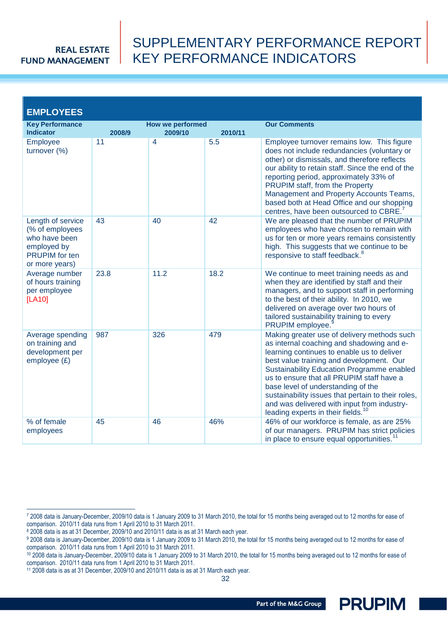## SUPPLEMENTARY PERFORMANCE REPORT KEY PERFORMANCE INDICATORS

| <b>EMPLOYEES</b>                                                                                                |        |                                    |         |                                                                                                                                                                                                                                                                                                                                                                                                                                                                                   |
|-----------------------------------------------------------------------------------------------------------------|--------|------------------------------------|---------|-----------------------------------------------------------------------------------------------------------------------------------------------------------------------------------------------------------------------------------------------------------------------------------------------------------------------------------------------------------------------------------------------------------------------------------------------------------------------------------|
| <b>Key Performance</b><br><b>Indicator</b>                                                                      | 2008/9 | <b>How we performed</b><br>2009/10 | 2010/11 | <b>Our Comments</b>                                                                                                                                                                                                                                                                                                                                                                                                                                                               |
| Employee<br>turnover (%)                                                                                        | 11     | $\overline{4}$                     | 5.5     | Employee turnover remains low. This figure<br>does not include redundancies (voluntary or<br>other) or dismissals, and therefore reflects<br>our ability to retain staff. Since the end of the<br>reporting period, approximately 33% of<br>PRUPIM staff, from the Property<br>Management and Property Accounts Teams,<br>based both at Head Office and our shopping<br>centres, have been outsourced to CBRE. <sup>7</sup>                                                       |
| Length of service<br>(% of employees<br>who have been<br>employed by<br><b>PRUPIM</b> for ten<br>or more years) | 43     | 40                                 | 42      | We are pleased that the number of PRUPIM<br>employees who have chosen to remain with<br>us for ten or more years remains consistently<br>high. This suggests that we continue to be<br>responsive to staff feedback. <sup>8</sup>                                                                                                                                                                                                                                                 |
| Average number<br>of hours training<br>per employee<br>[LA10]                                                   | 23.8   | 11.2                               | 18.2    | We continue to meet training needs as and<br>when they are identified by staff and their<br>managers, and to support staff in performing<br>to the best of their ability. In 2010, we<br>delivered on average over two hours of<br>tailored sustainability training to every<br>PRUPIM employee.                                                                                                                                                                                  |
| Average spending<br>on training and<br>development per<br>employee $(E)$                                        | 987    | 326                                | 479     | Making greater use of delivery methods such<br>as internal coaching and shadowing and e-<br>learning continues to enable us to deliver<br>best value training and development. Our<br><b>Sustainability Education Programme enabled</b><br>us to ensure that all PRUPIM staff have a<br>base level of understanding of the<br>sustainability issues that pertain to their roles,<br>and was delivered with input from industry-<br>leading experts in their fields. <sup>10</sup> |
| % of female<br>employees                                                                                        | 45     | 46                                 | 46%     | 46% of our workforce is female, as are 25%<br>of our managers. PRUPIM has strict policies<br>in place to ensure equal opportunities.                                                                                                                                                                                                                                                                                                                                              |

 $\overline{a}$ 

32

<sup>7</sup> 2008 data is January-December, 2009/10 data is 1 January 2009 to 31 March 2010, the total for 15 months being averaged out to 12 months for ease of comparison. 2010/11 data runs from 1 April 2010 to 31 March 2011.

<sup>8 2008</sup> data is as at 31 December, 2009/10 and 2010/11 data is as at 31 March each year.

<sup>9 2008</sup> data is January-December, 2009/10 data is 1 January 2009 to 31 March 2010, the total for 15 months being averaged out to 12 months for ease of comparison. 2010/11 data runs from 1 April 2010 to 31 March 2011.

<sup>&</sup>lt;sup>10</sup> 2008 data is January-December, 2009/10 data is 1 January 2009 to 31 March 2010, the total for 15 months being averaged out to 12 months for ease of comparison. 2010/11 data runs from 1 April 2010 to 31 March 2011.

<sup>11</sup> 2008 data is as at 31 December, 2009/10 and 2010/11 data is as at 31 March each year.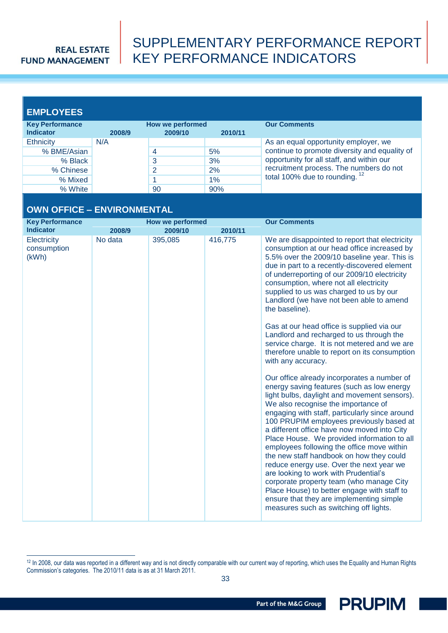## SUPPLEMENTARY PERFORMANCE REPORT KEY PERFORMANCE INDICATORS

### **EMPLOYEES**

 $\overline{a}$ 

| <b>Key Performance</b> | How we performed |         |         | <b>Our Comments</b>                                                                                                                                                                                                        |
|------------------------|------------------|---------|---------|----------------------------------------------------------------------------------------------------------------------------------------------------------------------------------------------------------------------------|
| <b>Indicator</b>       | 2008/9           | 2009/10 | 2010/11 |                                                                                                                                                                                                                            |
| Ethnicity              | N/A              |         |         | As an equal opportunity employer, we<br>continue to promote diversity and equality of<br>opportunity for all staff, and within our<br>recruitment process. The numbers do not<br>total 100% due to rounding. <sup>12</sup> |
| % BME/Asian            |                  |         | 5%      |                                                                                                                                                                                                                            |
| % Black                |                  |         | 3%      |                                                                                                                                                                                                                            |
| % Chinese              |                  | 2       | 2%      |                                                                                                                                                                                                                            |
| % Mixed                |                  |         | $1\%$   |                                                                                                                                                                                                                            |
| % White                |                  | 90      | 90%     |                                                                                                                                                                                                                            |

### **OWN OFFICE – ENVIRONMENTAL**

<span id="page-32-0"></span>

| <b>Key Performance</b>              |         | <b>How we performed</b> |         | <b>Our Comments</b>                                                                                                                                                                                                                                                                                                                                                                                                                                                                                                                                                                                                                                                                                                                          |
|-------------------------------------|---------|-------------------------|---------|----------------------------------------------------------------------------------------------------------------------------------------------------------------------------------------------------------------------------------------------------------------------------------------------------------------------------------------------------------------------------------------------------------------------------------------------------------------------------------------------------------------------------------------------------------------------------------------------------------------------------------------------------------------------------------------------------------------------------------------------|
| <b>Indicator</b>                    | 2008/9  | 2009/10                 | 2010/11 |                                                                                                                                                                                                                                                                                                                                                                                                                                                                                                                                                                                                                                                                                                                                              |
| Electricity<br>consumption<br>(kWh) | No data | 395,085                 | 416,775 | We are disappointed to report that electricity<br>consumption at our head office increased by<br>5.5% over the 2009/10 baseline year. This is<br>due in part to a recently-discovered element<br>of underreporting of our 2009/10 electricity<br>consumption, where not all electricity<br>supplied to us was charged to us by our<br>Landlord (we have not been able to amend<br>the baseline).                                                                                                                                                                                                                                                                                                                                             |
|                                     |         |                         |         | Gas at our head office is supplied via our<br>Landlord and recharged to us through the<br>service charge. It is not metered and we are<br>therefore unable to report on its consumption<br>with any accuracy.                                                                                                                                                                                                                                                                                                                                                                                                                                                                                                                                |
|                                     |         |                         |         | Our office already incorporates a number of<br>energy saving features (such as low energy<br>light bulbs, daylight and movement sensors).<br>We also recognise the importance of<br>engaging with staff, particularly since around<br>100 PRUPIM employees previously based at<br>a different office have now moved into City<br>Place House. We provided information to all<br>employees following the office move within<br>the new staff handbook on how they could<br>reduce energy use. Over the next year we<br>are looking to work with Prudential's<br>corporate property team (who manage City<br>Place House) to better engage with staff to<br>ensure that they are implementing simple<br>measures such as switching off lights. |



<sup>&</sup>lt;sup>12</sup> In 2008, our data was reported in a different way and is not directly comparable with our current way of reporting, which uses the Equality and Human Rights Commission's categories. The 2010/11 data is as at 31 March 2011.